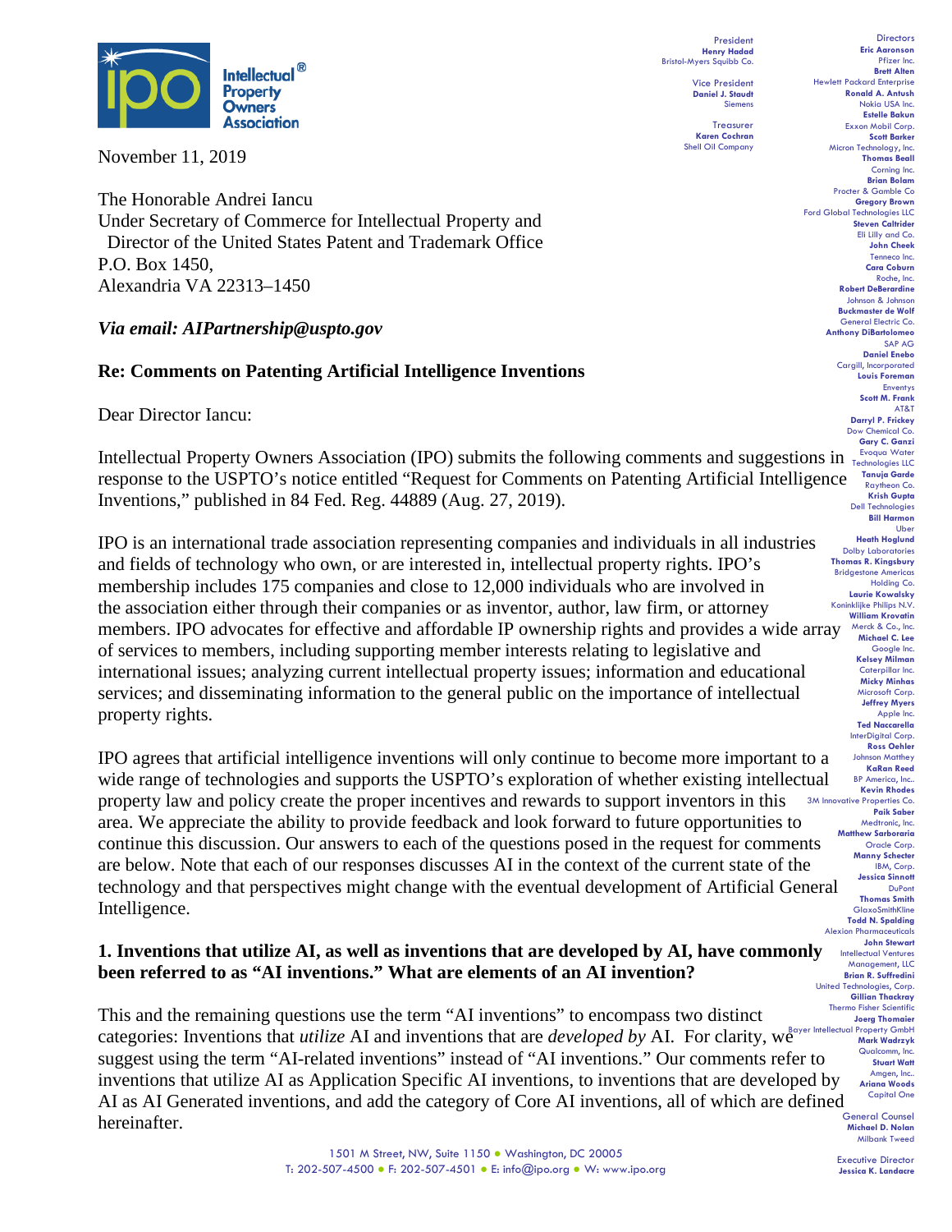

November 11, 2019

The Honorable Andrei Iancu Under Secretary of Commerce for Intellectual Property and Director of the United States Patent and Trademark Office P.O. Box 1450, Alexandria VA 22313–1450

# *Via email: AIPartnership@uspto.gov*

## **Re: Comments on Patenting Artificial Intelligence Inventions**

Dear Director Iancu:

Intellectual Property Owners Association (IPO) submits the following comments and suggestions in  $\frac{Evoque Water}{Iechnologies ILC}$ **Tanuja Garde** to the USPTO's notice entitled "Request for Comments on Patenting Artificial Intelligence Tanuja Garde Inventions," published in 84 Fed. Reg. 44889 (Aug. 27, 2019).

members. IPO advocates for effective and affordable IP ownership rights and provides a wide array Merick & Co., Inc. IPO is an international trade association representing companies and individuals in all industries and fields of technology who own, or are interested in, intellectual property rights. IPO's membership includes 175 companies and close to 12,000 individuals who are involved in the association either through their companies or as inventor, author, law firm, or attorney of services to members, including supporting member interests relating to legislative and international issues; analyzing current intellectual property issues; information and educational services; and disseminating information to the general public on the importance of intellectual property rights.

IPO agrees that artificial intelligence inventions will only continue to become more important to a wide range of technologies and supports the USPTO's exploration of whether existing intellectual property law and policy create the proper incentives and rewards to support inventors in this area. We appreciate the ability to provide feedback and look forward to future opportunities to continue this discussion. Our answers to each of the questions posed in the request for comments are below. Note that each of our responses discusses AI in the context of the current state of the technology and that perspectives might change with the eventual development of Artificial General Intelligence.

# **1. Inventions that utilize AI, as well as inventions that are developed by AI, have commonly been referred to as "AI inventions." What are elements of an AI invention?**

categories: Inventions that *utilize* AI and inventions that are *developed by* AI. For clarity, we substracted Property GmbH This and the remaining questions use the term "AI inventions" to encompass two distinct suggest using the term "AI-related inventions" instead of "AI inventions." Our comments refer to inventions that utilize AI as Application Specific AI inventions, to inventions that are developed by AI as AI Generated inventions, and add the category of Core AI inventions, all of which are defined hereinafter.

President **Henry Hadad** Bristol-Myers Squibb Co.

Vice President **Daniel J. Staudt** Siemens

**Treasurer Karen Cochran** Shell Oil Company

**Directors Eric Aaronson**  Pfizer Inc. **Brett Alten** Hewlett Packard Enterprise **Ronald A. Antush** Nokia USA Inc. **Estelle Bakun** Exxon Mobil Corp. **Scott Barker** Micron Technology, Inc. **Thomas Beall** Corning Inc. **Brian Bolam** Procter & Gamble Co **Gregory Brown** Ford Global Technologies LLC **Steven Caltrider** Eli Lilly and Co. **John Cheek** Tenneco Inc. **Cara Coburn** Roche, Inc. **Robert DeBerardine** Johnson & Johnson **Buckmaster de Wolf** General Electric Co. **Anthony DiBartolomeo** SAP AG **Daniel Enebo** Cargill, Incorporated **Louis Foreman** Enventys **Scott M. Frank** AT&T **Darryl P. Frickey** Dow Chemical Co. **Gary C. Ganzi** Raytheon Co. **Krish Gupta** Dell Technologies **Bill Harmon** Uber **Heath Hoglund** Dolby Laboratories **Thomas R. Kingsbury** Bridgestone Americas Holding Co. **Laurie Kowalsky** Koninklijke Philips N.V. **William Krovatin Michael C. Lee** Google Inc. **Kelsey Milman** Caterpillar Inc. **Micky Minhas** Microsoft Corp. **Jeffrey Myers** Apple Inc. **Ted Naccarella** InterDigital Corp. **Ross Oehler** Johnson Matthey **KaRan Reed** BP America, Inc.. **Kevin Rhodes** 3M Innovative Properties Co. **Paik Saber** Medtronic, Inc. **Matthew Sarboraria** Oracle Corp. **Manny Schecter** IBM, Corp. **Jessica Sinnott** DuPont **Thomas Smith** GlaxoSmithKline **Todd N. Spalding** Alexion Pharmaceutical **John Stewart** Intellectual Ventures Management, LLC **Brian R. Suffredini** United Technologies, Corp. **Gillian Thackray** Thermo Fisher Scientific **Joerg Thomaier** Qualcomm, Inc. **Stuart Watt** Amgen, Inc.. **Ariana Woods** Capital One

> General Counsel **Michael D. Nolan** Milbank Tweed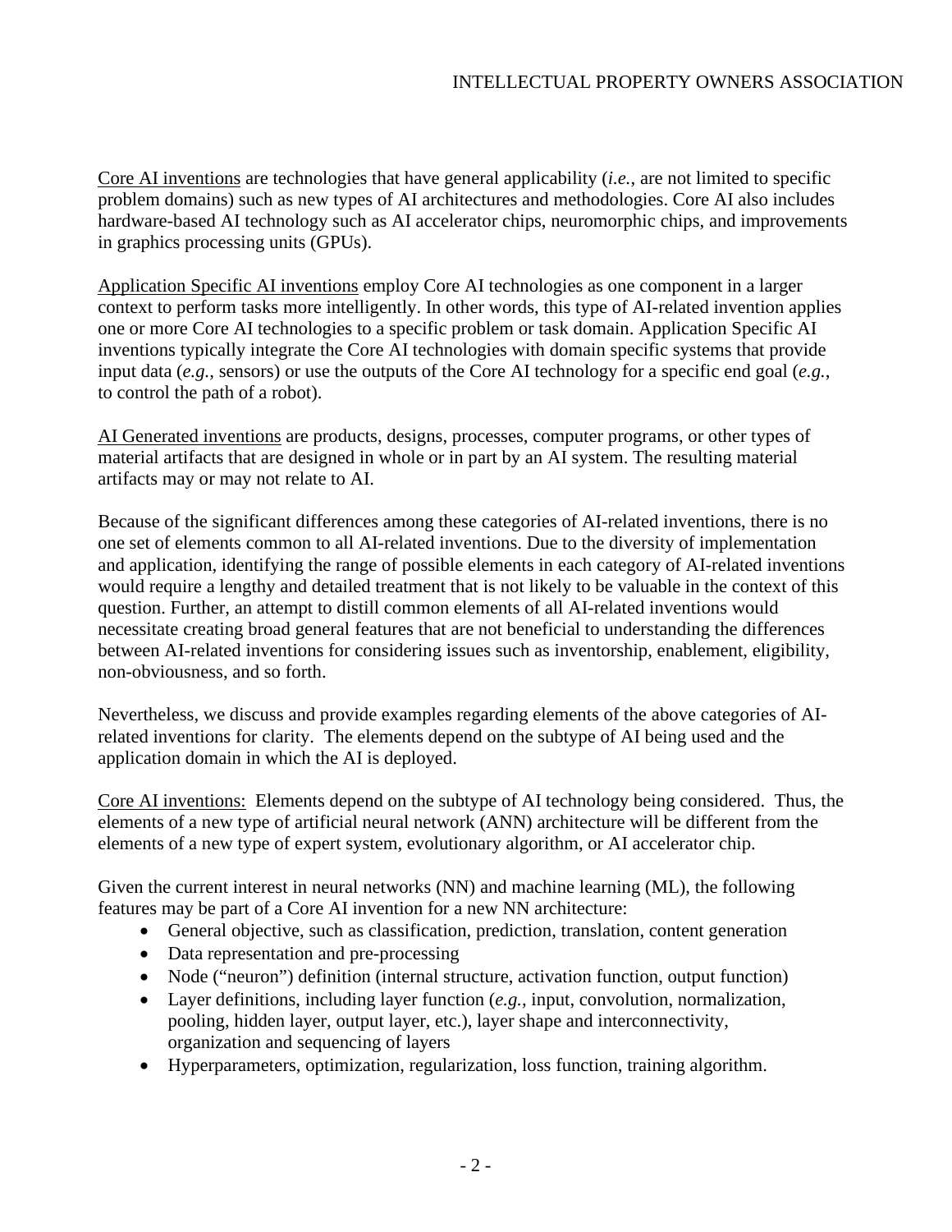Core AI inventions are technologies that have general applicability (*i.e.*, are not limited to specific problem domains) such as new types of AI architectures and methodologies. Core AI also includes hardware-based AI technology such as AI accelerator chips, neuromorphic chips, and improvements in graphics processing units (GPUs).

Application Specific AI inventions employ Core AI technologies as one component in a larger context to perform tasks more intelligently. In other words, this type of AI-related invention applies one or more Core AI technologies to a specific problem or task domain. Application Specific AI inventions typically integrate the Core AI technologies with domain specific systems that provide input data (*e.g.*, sensors) or use the outputs of the Core AI technology for a specific end goal (*e.g.*, to control the path of a robot).

AI Generated inventions are products, designs, processes, computer programs, or other types of material artifacts that are designed in whole or in part by an AI system. The resulting material artifacts may or may not relate to AI.

Because of the significant differences among these categories of AI-related inventions, there is no one set of elements common to all AI-related inventions. Due to the diversity of implementation and application, identifying the range of possible elements in each category of AI-related inventions would require a lengthy and detailed treatment that is not likely to be valuable in the context of this question. Further, an attempt to distill common elements of all AI-related inventions would necessitate creating broad general features that are not beneficial to understanding the differences between AI-related inventions for considering issues such as inventorship, enablement, eligibility, non-obviousness, and so forth.

Nevertheless, we discuss and provide examples regarding elements of the above categories of AIrelated inventions for clarity. The elements depend on the subtype of AI being used and the application domain in which the AI is deployed.

Core AI inventions: Elements depend on the subtype of AI technology being considered. Thus, the elements of a new type of artificial neural network (ANN) architecture will be different from the elements of a new type of expert system, evolutionary algorithm, or AI accelerator chip.

Given the current interest in neural networks (NN) and machine learning (ML), the following features may be part of a Core AI invention for a new NN architecture:

- General objective, such as classification, prediction, translation, content generation
- Data representation and pre-processing
- Node ("neuron") definition (internal structure, activation function, output function)
- Layer definitions, including layer function (*e.g.*, input, convolution, normalization, pooling, hidden layer, output layer, etc.), layer shape and interconnectivity, organization and sequencing of layers
- Hyperparameters, optimization, regularization, loss function, training algorithm.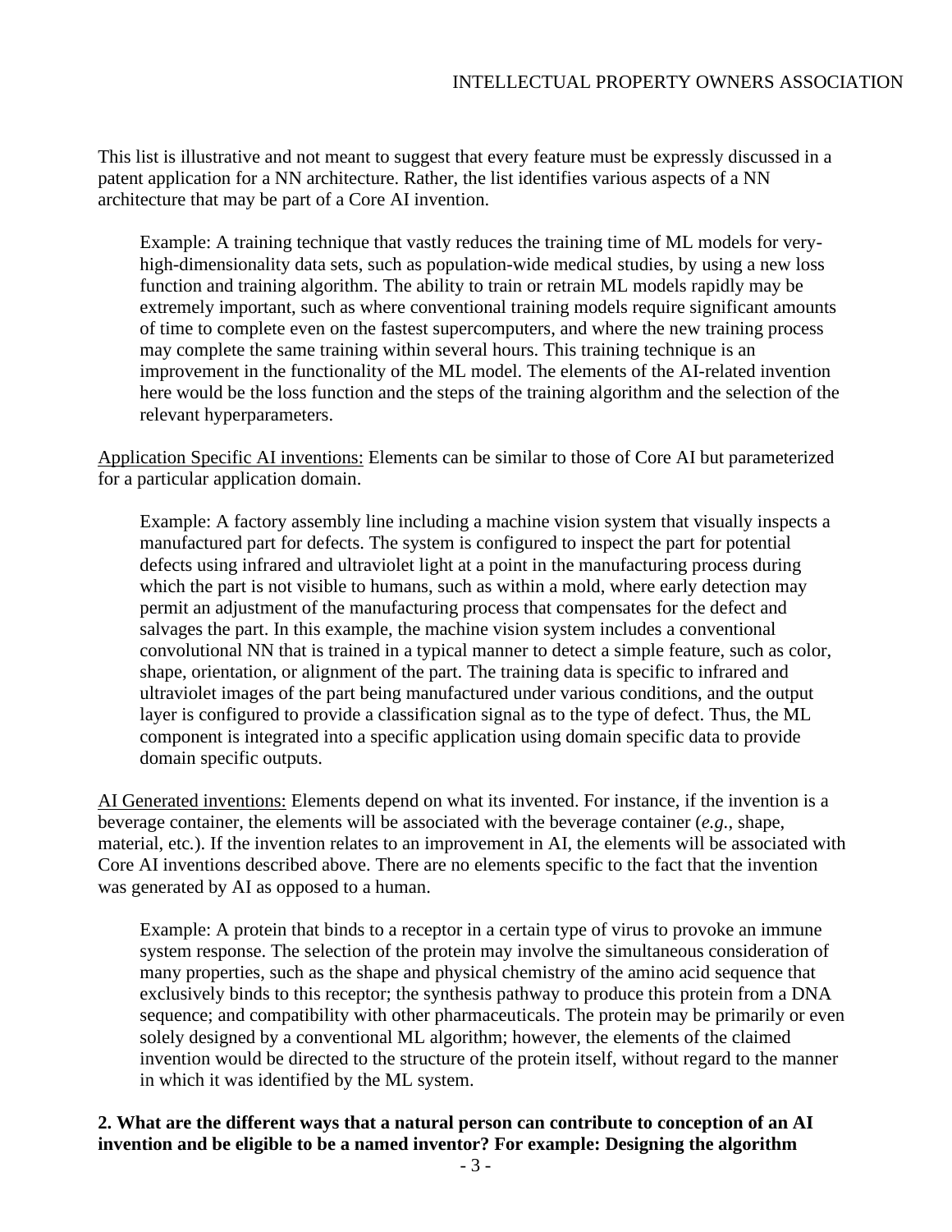This list is illustrative and not meant to suggest that every feature must be expressly discussed in a patent application for a NN architecture. Rather, the list identifies various aspects of a NN architecture that may be part of a Core AI invention.

Example: A training technique that vastly reduces the training time of ML models for veryhigh-dimensionality data sets, such as population-wide medical studies, by using a new loss function and training algorithm. The ability to train or retrain ML models rapidly may be extremely important, such as where conventional training models require significant amounts of time to complete even on the fastest supercomputers, and where the new training process may complete the same training within several hours. This training technique is an improvement in the functionality of the ML model. The elements of the AI-related invention here would be the loss function and the steps of the training algorithm and the selection of the relevant hyperparameters.

Application Specific AI inventions: Elements can be similar to those of Core AI but parameterized for a particular application domain.

Example: A factory assembly line including a machine vision system that visually inspects a manufactured part for defects. The system is configured to inspect the part for potential defects using infrared and ultraviolet light at a point in the manufacturing process during which the part is not visible to humans, such as within a mold, where early detection may permit an adjustment of the manufacturing process that compensates for the defect and salvages the part. In this example, the machine vision system includes a conventional convolutional NN that is trained in a typical manner to detect a simple feature, such as color, shape, orientation, or alignment of the part. The training data is specific to infrared and ultraviolet images of the part being manufactured under various conditions, and the output layer is configured to provide a classification signal as to the type of defect. Thus, the ML component is integrated into a specific application using domain specific data to provide domain specific outputs.

AI Generated inventions: Elements depend on what its invented. For instance, if the invention is a beverage container, the elements will be associated with the beverage container (*e.g.*, shape, material, etc*.*). If the invention relates to an improvement in AI, the elements will be associated with Core AI inventions described above. There are no elements specific to the fact that the invention was generated by AI as opposed to a human.

Example: A protein that binds to a receptor in a certain type of virus to provoke an immune system response. The selection of the protein may involve the simultaneous consideration of many properties, such as the shape and physical chemistry of the amino acid sequence that exclusively binds to this receptor; the synthesis pathway to produce this protein from a DNA sequence; and compatibility with other pharmaceuticals. The protein may be primarily or even solely designed by a conventional ML algorithm; however, the elements of the claimed invention would be directed to the structure of the protein itself, without regard to the manner in which it was identified by the ML system.

### **2. What are the different ways that a natural person can contribute to conception of an AI invention and be eligible to be a named inventor? For example: Designing the algorithm**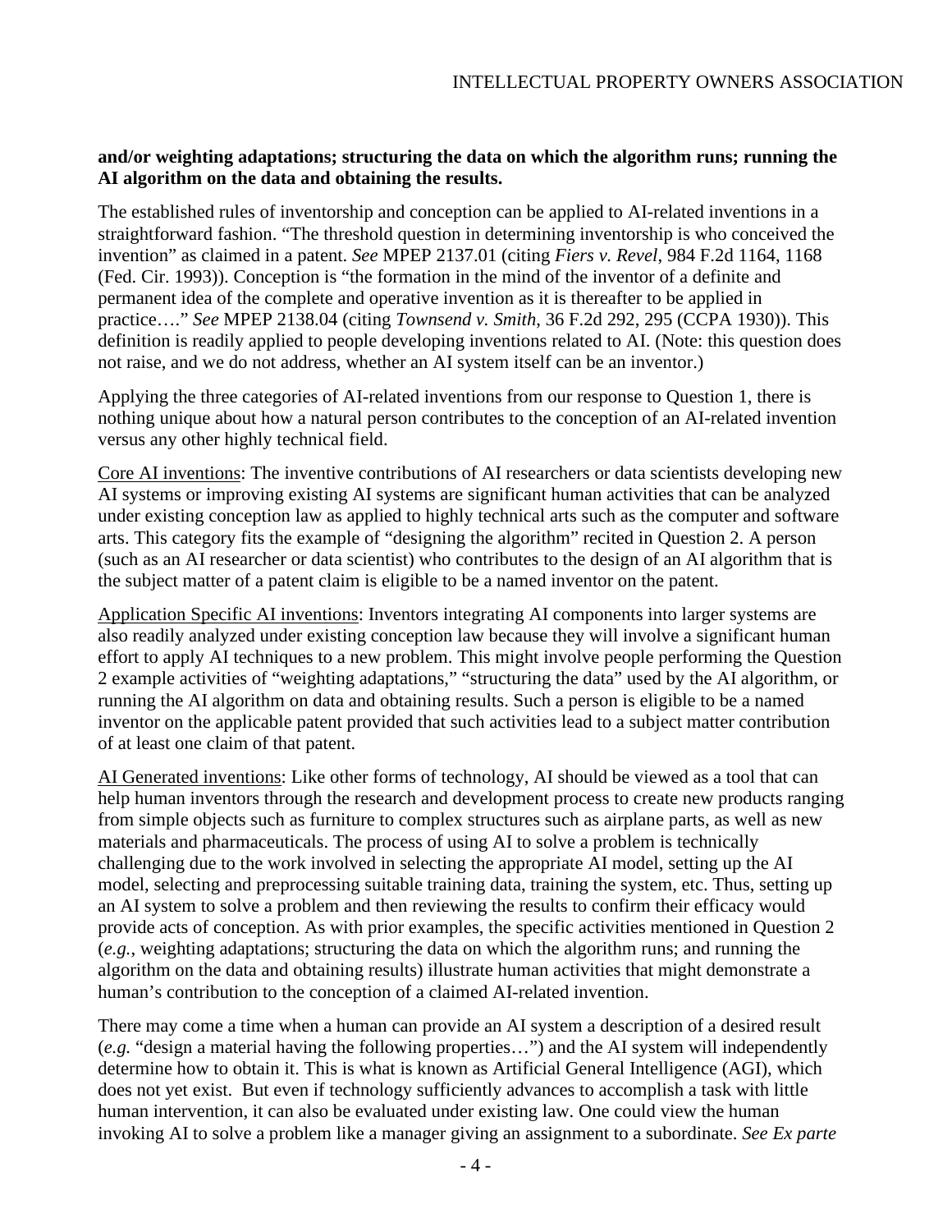## **and/or weighting adaptations; structuring the data on which the algorithm runs; running the AI algorithm on the data and obtaining the results.**

The established rules of inventorship and conception can be applied to AI-related inventions in a straightforward fashion. "The threshold question in determining inventorship is who conceived the invention" as claimed in a patent. *See* MPEP 2137.01 (citing *Fiers v. Revel*, 984 F.2d 1164, 1168 (Fed. Cir. 1993)). Conception is "the formation in the mind of the inventor of a definite and permanent idea of the complete and operative invention as it is thereafter to be applied in practice…." *See* MPEP 2138.04 (citing *Townsend v. Smith*, 36 F.2d 292, 295 (CCPA 1930)). This definition is readily applied to people developing inventions related to AI. (Note: this question does not raise, and we do not address, whether an AI system itself can be an inventor.)

Applying the three categories of AI-related inventions from our response to Question 1, there is nothing unique about how a natural person contributes to the conception of an AI-related invention versus any other highly technical field.

Core AI inventions: The inventive contributions of AI researchers or data scientists developing new AI systems or improving existing AI systems are significant human activities that can be analyzed under existing conception law as applied to highly technical arts such as the computer and software arts. This category fits the example of "designing the algorithm" recited in Question 2. A person (such as an AI researcher or data scientist) who contributes to the design of an AI algorithm that is the subject matter of a patent claim is eligible to be a named inventor on the patent.

Application Specific AI inventions: Inventors integrating AI components into larger systems are also readily analyzed under existing conception law because they will involve a significant human effort to apply AI techniques to a new problem. This might involve people performing the Question 2 example activities of "weighting adaptations," "structuring the data" used by the AI algorithm, or running the AI algorithm on data and obtaining results. Such a person is eligible to be a named inventor on the applicable patent provided that such activities lead to a subject matter contribution of at least one claim of that patent.

AI Generated inventions: Like other forms of technology, AI should be viewed as a tool that can help human inventors through the research and development process to create new products ranging from simple objects such as furniture to complex structures such as airplane parts, as well as new materials and pharmaceuticals. The process of using AI to solve a problem is technically challenging due to the work involved in selecting the appropriate AI model, setting up the AI model, selecting and preprocessing suitable training data, training the system, etc. Thus, setting up an AI system to solve a problem and then reviewing the results to confirm their efficacy would provide acts of conception. As with prior examples, the specific activities mentioned in Question 2 (*e.g.*, weighting adaptations; structuring the data on which the algorithm runs; and running the algorithm on the data and obtaining results) illustrate human activities that might demonstrate a human's contribution to the conception of a claimed AI-related invention.

There may come a time when a human can provide an AI system a description of a desired result (*e.g.* "design a material having the following properties…") and the AI system will independently determine how to obtain it. This is what is known as Artificial General Intelligence (AGI), which does not yet exist. But even if technology sufficiently advances to accomplish a task with little human intervention, it can also be evaluated under existing law. One could view the human invoking AI to solve a problem like a manager giving an assignment to a subordinate. *See Ex parte*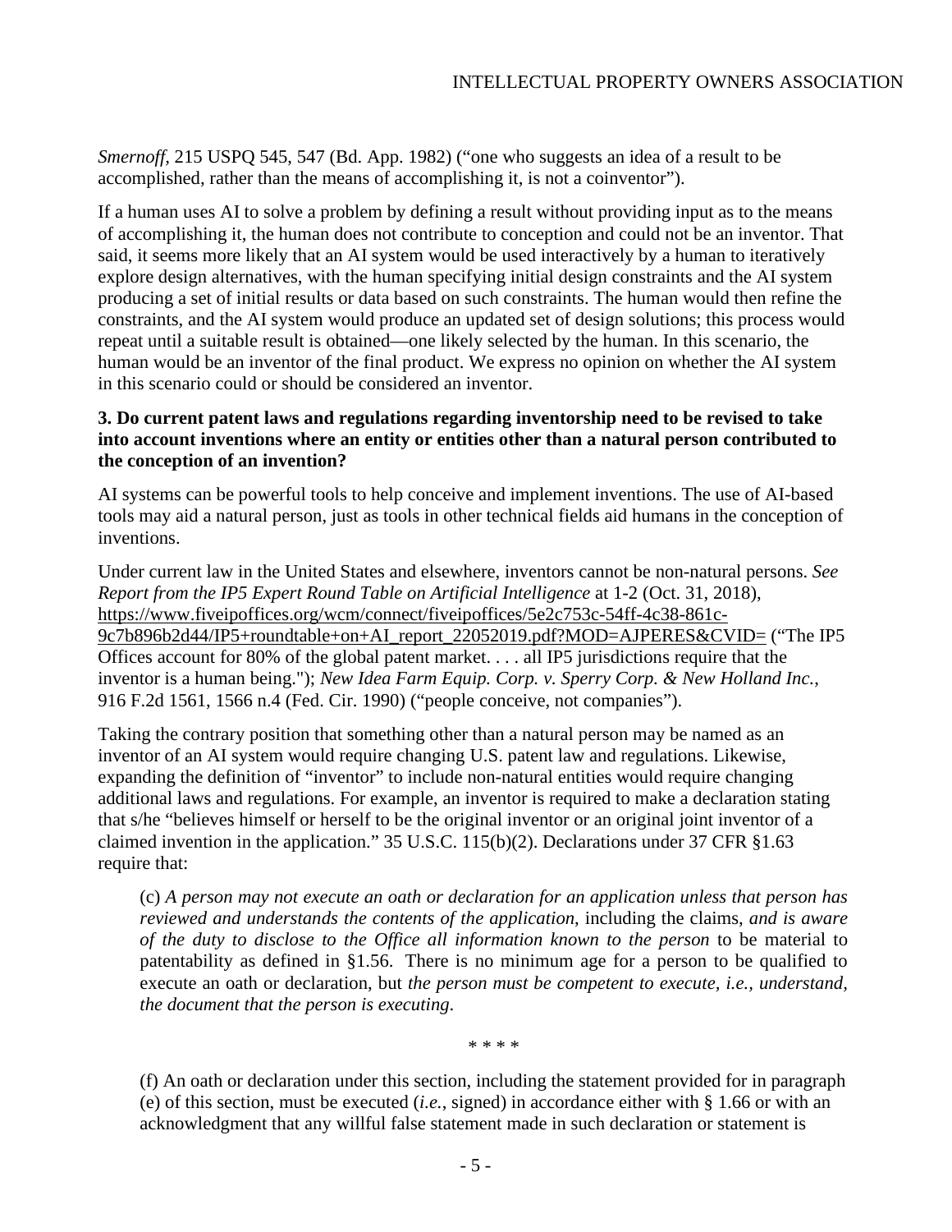*Smernoff,* 215 USPQ 545, 547 (Bd. App. 1982) ("one who suggests an idea of a result to be accomplished, rather than the means of accomplishing it, is not a coinventor").

If a human uses AI to solve a problem by defining a result without providing input as to the means of accomplishing it, the human does not contribute to conception and could not be an inventor. That said, it seems more likely that an AI system would be used interactively by a human to iteratively explore design alternatives, with the human specifying initial design constraints and the AI system producing a set of initial results or data based on such constraints. The human would then refine the constraints, and the AI system would produce an updated set of design solutions; this process would repeat until a suitable result is obtained—one likely selected by the human. In this scenario, the human would be an inventor of the final product. We express no opinion on whether the AI system in this scenario could or should be considered an inventor.

## **3. Do current patent laws and regulations regarding inventorship need to be revised to take into account inventions where an entity or entities other than a natural person contributed to the conception of an invention?**

AI systems can be powerful tools to help conceive and implement inventions. The use of AI-based tools may aid a natural person, just as tools in other technical fields aid humans in the conception of inventions.

Under current law in the United States and elsewhere, inventors cannot be non-natural persons. *See Report from the IP5 Expert Round Table on Artificial Intelligence* at 1-2 (Oct. 31, 2018), [https://www.fiveipoffices.org/wcm/connect/fiveipoffices/5e2c753c-54ff-4c38-861c-](https://www.fiveipoffices.org/wcm/connect/fiveipoffices/5e2c753c-54ff-4c38-861c-9c7b896b2d44/IP5+roundtable+on+AI_report_22052019.pdf?MOD=AJPERES&CVID=)[9c7b896b2d44/IP5+roundtable+on+AI\\_report\\_22052019.pdf?MOD=AJPERES&CVID=](https://www.fiveipoffices.org/wcm/connect/fiveipoffices/5e2c753c-54ff-4c38-861c-9c7b896b2d44/IP5+roundtable+on+AI_report_22052019.pdf?MOD=AJPERES&CVID=) ("The IP5 Offices account for 80% of the global patent market. . . . all IP5 jurisdictions require that the inventor is a human being."); *New Idea Farm Equip. Corp. v. Sperry Corp. & New Holland Inc.*, 916 F.2d 1561, 1566 n.4 (Fed. Cir. 1990) ("people conceive, not companies").

Taking the contrary position that something other than a natural person may be named as an inventor of an AI system would require changing U.S. patent law and regulations. Likewise, expanding the definition of "inventor" to include non-natural entities would require changing additional laws and regulations. For example, an inventor is required to make a declaration stating that s/he "believes himself or herself to be the original inventor or an original joint inventor of a claimed invention in the application." 35 U.S.C. 115(b)(2). Declarations under 37 CFR §1.63 require that:

(c) *A person may not execute an oath or declaration for an application unless that person has reviewed and understands the contents of the application*, including the claims, *and is aware of the duty to disclose to the Office all information known to the person* to be material to patentability as defined in §1.56. There is no minimum age for a person to be qualified to execute an oath or declaration, but *the person must be competent to execute, i.e., understand, the document that the person is executing*.

\* \* \* \*

(f) An oath or declaration under this section, including the statement provided for in paragraph (e) of this section, must be executed (*i.e.*, signed) in accordance either with § 1.66 or with an acknowledgment that any willful false statement made in such declaration or statement is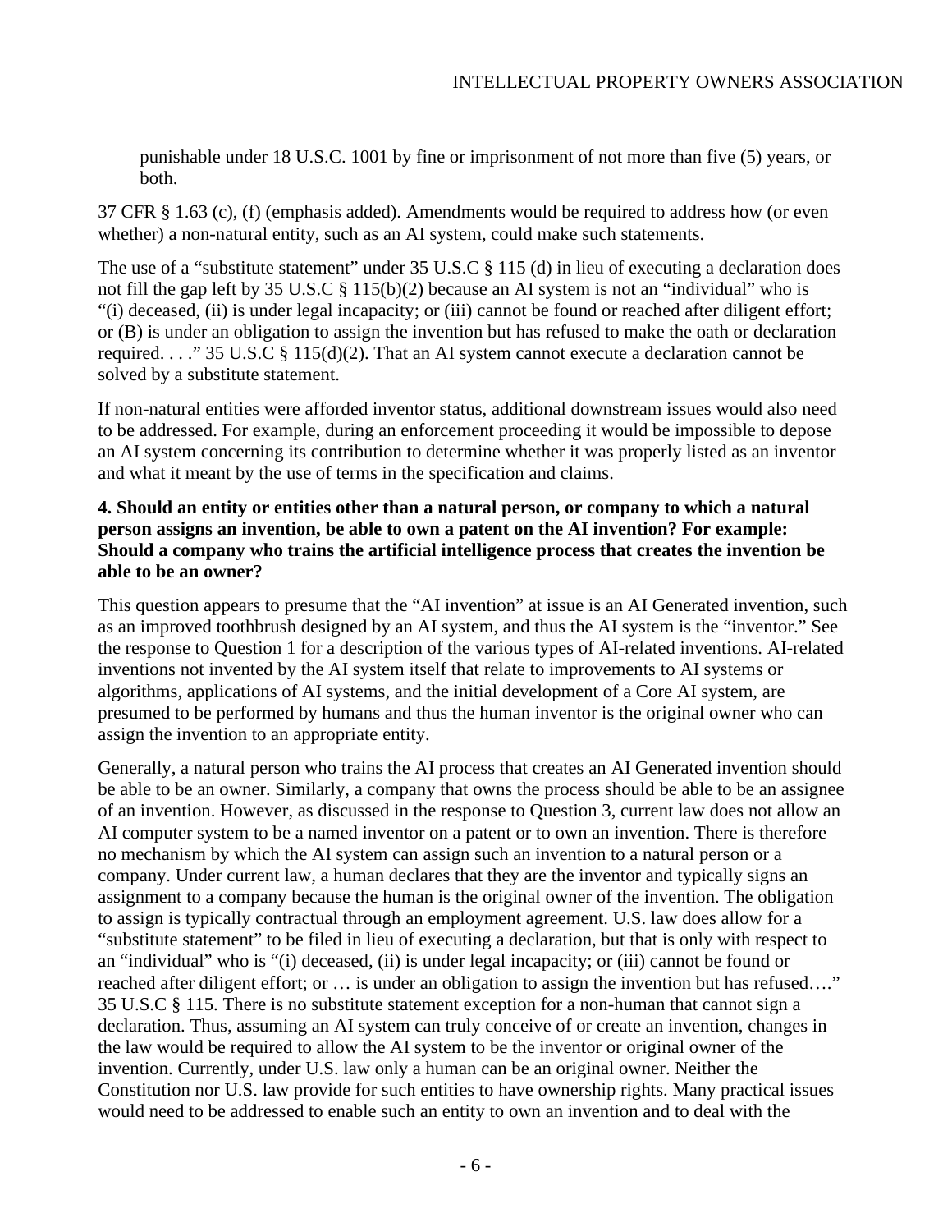punishable under 18 U.S.C. 1001 by fine or imprisonment of not more than five (5) years, or both.

37 CFR § 1.63 (c), (f) (emphasis added). Amendments would be required to address how (or even whether) a non-natural entity, such as an AI system, could make such statements.

The use of a "substitute statement" under 35 U.S.C § 115 (d) in lieu of executing a declaration does not fill the gap left by 35 U.S.C § 115(b)(2) because an AI system is not an "individual" who is "(i) deceased, (ii) is under legal incapacity; or (iii) cannot be found or reached after diligent effort; or (B) is under an obligation to assign the invention but has refused to make the oath or declaration required. . . ." 35 U.S.C § 115(d)(2). That an AI system cannot execute a declaration cannot be solved by a substitute statement.

If non-natural entities were afforded inventor status, additional downstream issues would also need to be addressed. For example, during an enforcement proceeding it would be impossible to depose an AI system concerning its contribution to determine whether it was properly listed as an inventor and what it meant by the use of terms in the specification and claims.

# **4. Should an entity or entities other than a natural person, or company to which a natural person assigns an invention, be able to own a patent on the AI invention? For example: Should a company who trains the artificial intelligence process that creates the invention be able to be an owner?**

This question appears to presume that the "AI invention" at issue is an AI Generated invention, such as an improved toothbrush designed by an AI system, and thus the AI system is the "inventor." See the response to Question 1 for a description of the various types of AI-related inventions. AI-related inventions not invented by the AI system itself that relate to improvements to AI systems or algorithms, applications of AI systems, and the initial development of a Core AI system, are presumed to be performed by humans and thus the human inventor is the original owner who can assign the invention to an appropriate entity.

Generally, a natural person who trains the AI process that creates an AI Generated invention should be able to be an owner. Similarly, a company that owns the process should be able to be an assignee of an invention. However, as discussed in the response to Question 3, current law does not allow an AI computer system to be a named inventor on a patent or to own an invention. There is therefore no mechanism by which the AI system can assign such an invention to a natural person or a company. Under current law, a human declares that they are the inventor and typically signs an assignment to a company because the human is the original owner of the invention. The obligation to assign is typically contractual through an employment agreement. U.S. law does allow for a "substitute statement" to be filed in lieu of executing a declaration, but that is only with respect to an "individual" who is "(i) deceased, (ii) is under legal incapacity; or (iii) cannot be found or reached after diligent effort; or … is under an obligation to assign the invention but has refused…." 35 U.S.C § 115. There is no substitute statement exception for a non-human that cannot sign a declaration. Thus, assuming an AI system can truly conceive of or create an invention, changes in the law would be required to allow the AI system to be the inventor or original owner of the invention. Currently, under U.S. law only a human can be an original owner. Neither the Constitution nor U.S. law provide for such entities to have ownership rights. Many practical issues would need to be addressed to enable such an entity to own an invention and to deal with the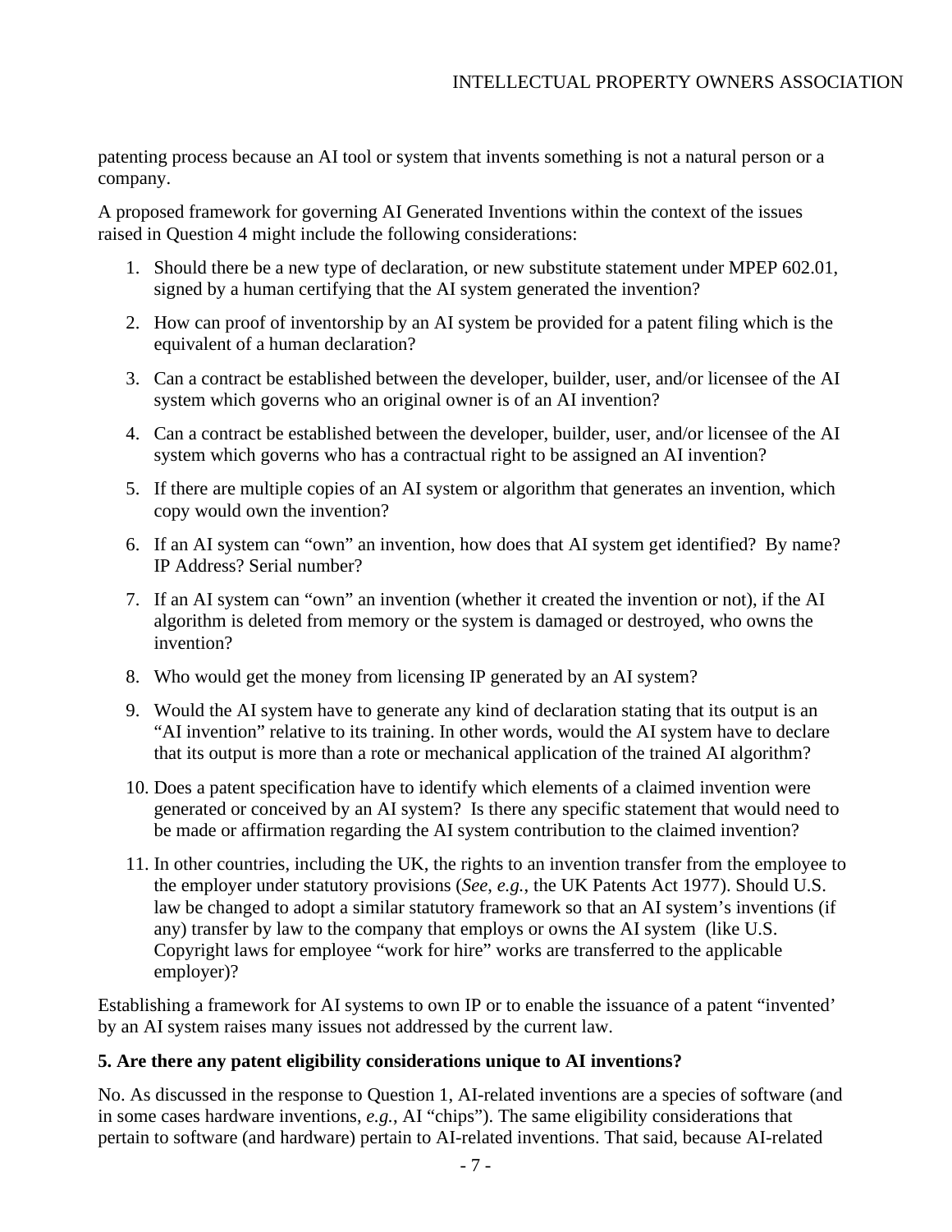patenting process because an AI tool or system that invents something is not a natural person or a company.

A proposed framework for governing AI Generated Inventions within the context of the issues raised in Question 4 might include the following considerations:

- 1. Should there be a new type of declaration, or new substitute statement under MPEP 602.01, signed by a human certifying that the AI system generated the invention?
- 2. How can proof of inventorship by an AI system be provided for a patent filing which is the equivalent of a human declaration?
- 3. Can a contract be established between the developer, builder, user, and/or licensee of the AI system which governs who an original owner is of an AI invention?
- 4. Can a contract be established between the developer, builder, user, and/or licensee of the AI system which governs who has a contractual right to be assigned an AI invention?
- 5. If there are multiple copies of an AI system or algorithm that generates an invention, which copy would own the invention?
- 6. If an AI system can "own" an invention, how does that AI system get identified? By name? IP Address? Serial number?
- 7. If an AI system can "own" an invention (whether it created the invention or not), if the AI algorithm is deleted from memory or the system is damaged or destroyed, who owns the invention?
- 8. Who would get the money from licensing IP generated by an AI system?
- 9. Would the AI system have to generate any kind of declaration stating that its output is an "AI invention" relative to its training. In other words, would the AI system have to declare that its output is more than a rote or mechanical application of the trained AI algorithm?
- 10. Does a patent specification have to identify which elements of a claimed invention were generated or conceived by an AI system? Is there any specific statement that would need to be made or affirmation regarding the AI system contribution to the claimed invention?
- 11. In other countries, including the UK, the rights to an invention transfer from the employee to the employer under statutory provisions (*See*, *e.g.*, the UK Patents Act 1977). Should U.S. law be changed to adopt a similar statutory framework so that an AI system's inventions (if any) transfer by law to the company that employs or owns the AI system (like U.S. Copyright laws for employee "work for hire" works are transferred to the applicable employer)?

Establishing a framework for AI systems to own IP or to enable the issuance of a patent "invented' by an AI system raises many issues not addressed by the current law.

# **5. Are there any patent eligibility considerations unique to AI inventions?**

No. As discussed in the response to Question 1, AI-related inventions are a species of software (and in some cases hardware inventions, *e.g.*, AI "chips"). The same eligibility considerations that pertain to software (and hardware) pertain to AI-related inventions. That said, because AI-related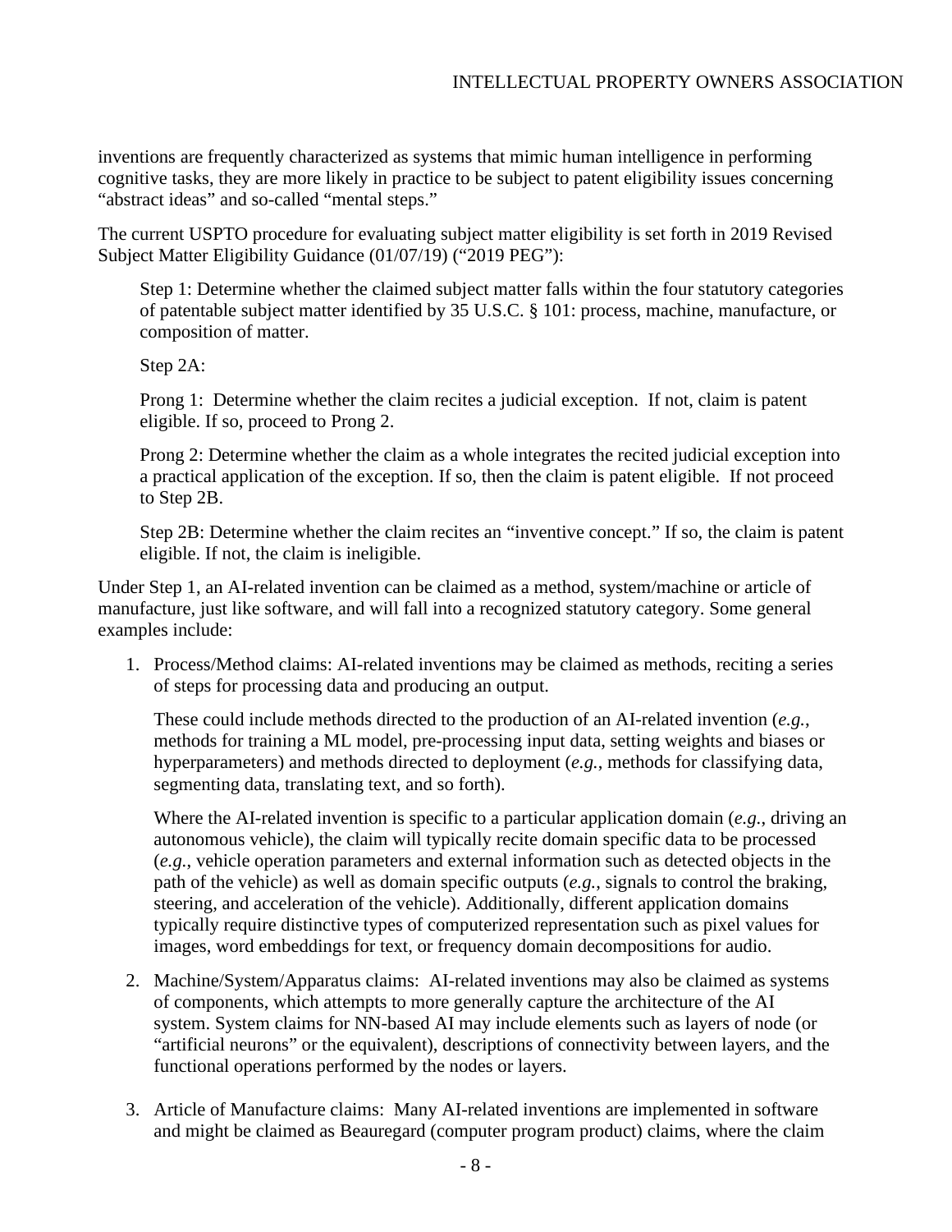inventions are frequently characterized as systems that mimic human intelligence in performing cognitive tasks, they are more likely in practice to be subject to patent eligibility issues concerning "abstract ideas" and so-called "mental steps."

The current USPTO procedure for evaluating subject matter eligibility is set forth in 2019 Revised Subject Matter Eligibility Guidance (01/07/19) ("2019 PEG"):

Step 1: Determine whether the claimed subject matter falls within the four statutory categories of patentable subject matter identified by 35 U.S.C. § 101: process, machine, manufacture, or composition of matter.

Step 2A:

Prong 1: Determine whether the claim recites a judicial exception. If not, claim is patent eligible. If so, proceed to Prong 2.

Prong 2: Determine whether the claim as a whole integrates the recited judicial exception into a practical application of the exception. If so, then the claim is patent eligible. If not proceed to Step 2B.

Step 2B: Determine whether the claim recites an "inventive concept." If so, the claim is patent eligible. If not, the claim is ineligible.

Under Step 1, an AI-related invention can be claimed as a method, system/machine or article of manufacture, just like software, and will fall into a recognized statutory category. Some general examples include:

1. Process/Method claims: AI-related inventions may be claimed as methods, reciting a series of steps for processing data and producing an output.

These could include methods directed to the production of an AI-related invention (*e.g.*, methods for training a ML model, pre-processing input data, setting weights and biases or hyperparameters) and methods directed to deployment (*e.g.*, methods for classifying data, segmenting data, translating text, and so forth).

Where the AI-related invention is specific to a particular application domain (*e.g.*, driving an autonomous vehicle), the claim will typically recite domain specific data to be processed (*e.g.*, vehicle operation parameters and external information such as detected objects in the path of the vehicle) as well as domain specific outputs (*e.g.*, signals to control the braking, steering, and acceleration of the vehicle). Additionally, different application domains typically require distinctive types of computerized representation such as pixel values for images, word embeddings for text, or frequency domain decompositions for audio.

- 2. Machine/System/Apparatus claims: AI-related inventions may also be claimed as systems of components, which attempts to more generally capture the architecture of the AI system. System claims for NN-based AI may include elements such as layers of node (or "artificial neurons" or the equivalent), descriptions of connectivity between layers, and the functional operations performed by the nodes or layers.
- 3. Article of Manufacture claims: Many AI-related inventions are implemented in software and might be claimed as Beauregard (computer program product) claims, where the claim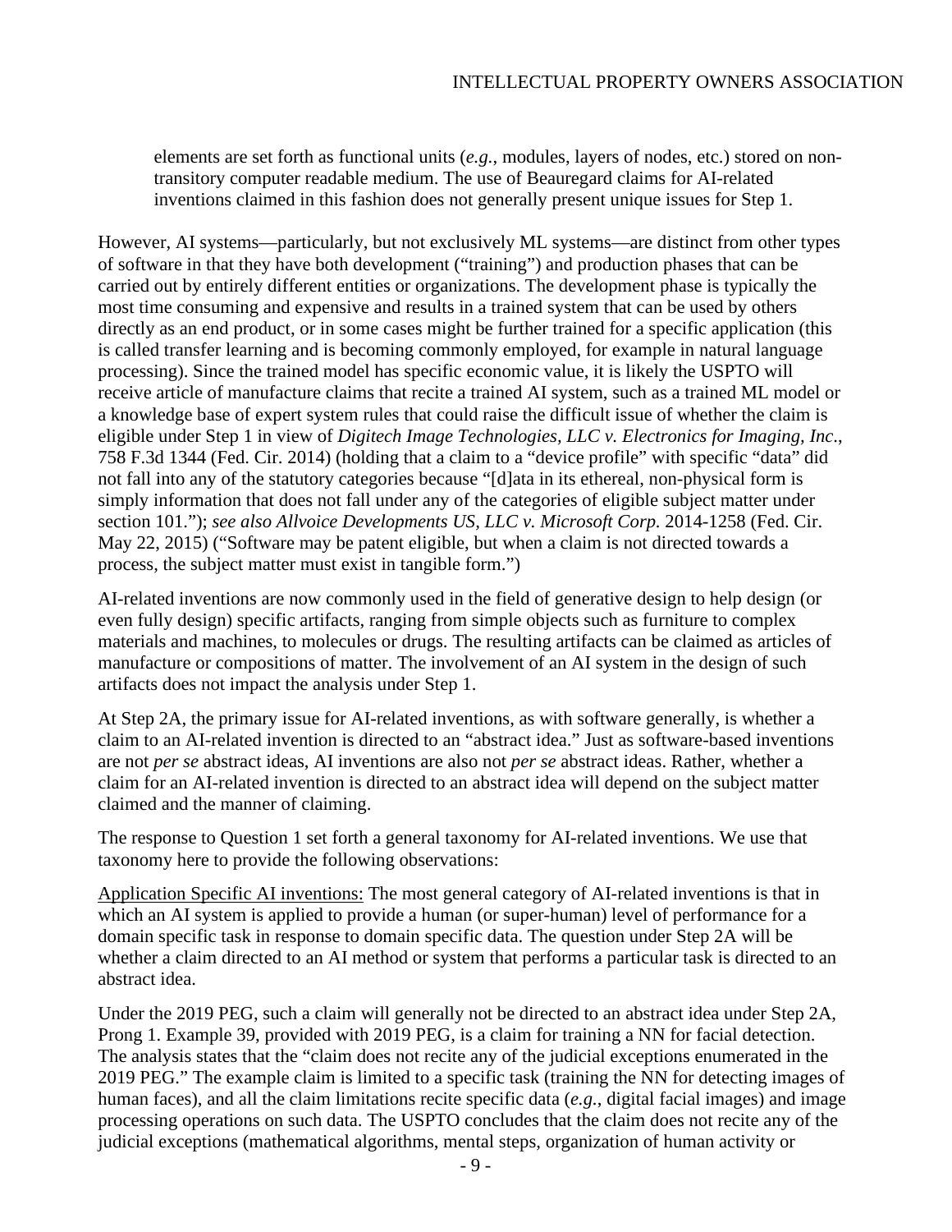elements are set forth as functional units (*e.g.*, modules, layers of nodes, etc.) stored on nontransitory computer readable medium. The use of Beauregard claims for AI-related inventions claimed in this fashion does not generally present unique issues for Step 1.

However, AI systems—particularly, but not exclusively ML systems—are distinct from other types of software in that they have both development ("training") and production phases that can be carried out by entirely different entities or organizations. The development phase is typically the most time consuming and expensive and results in a trained system that can be used by others directly as an end product, or in some cases might be further trained for a specific application (this is called transfer learning and is becoming commonly employed, for example in natural language processing). Since the trained model has specific economic value, it is likely the USPTO will receive article of manufacture claims that recite a trained AI system, such as a trained ML model or a knowledge base of expert system rules that could raise the difficult issue of whether the claim is eligible under Step 1 in view of *Digitech Image Technologies, LLC v. Electronics for Imaging, Inc*., 758 F.3d 1344 (Fed. Cir. 2014) (holding that a claim to a "device profile" with specific "data" did not fall into any of the statutory categories because "[d]ata in its ethereal, non-physical form is simply information that does not fall under any of the categories of eligible subject matter under section 101."); *see also Allvoice Developments US, LLC v. Microsoft Corp.* 2014-1258 (Fed. Cir. May 22, 2015) ("Software may be patent eligible, but when a claim is not directed towards a process, the subject matter must exist in tangible form.")

AI-related inventions are now commonly used in the field of generative design to help design (or even fully design) specific artifacts, ranging from simple objects such as furniture to complex materials and machines, to molecules or drugs. The resulting artifacts can be claimed as articles of manufacture or compositions of matter. The involvement of an AI system in the design of such artifacts does not impact the analysis under Step 1.

At Step 2A, the primary issue for AI-related inventions, as with software generally, is whether a claim to an AI-related invention is directed to an "abstract idea." Just as software-based inventions are not *per se* abstract ideas, AI inventions are also not *per se* abstract ideas. Rather, whether a claim for an AI-related invention is directed to an abstract idea will depend on the subject matter claimed and the manner of claiming.

The response to Question 1 set forth a general taxonomy for AI-related inventions. We use that taxonomy here to provide the following observations:

Application Specific AI inventions: The most general category of AI-related inventions is that in which an AI system is applied to provide a human (or super-human) level of performance for a domain specific task in response to domain specific data. The question under Step 2A will be whether a claim directed to an AI method or system that performs a particular task is directed to an abstract idea.

Under the 2019 PEG, such a claim will generally not be directed to an abstract idea under Step 2A, Prong 1. Example 39, provided with 2019 PEG, is a claim for training a NN for facial detection. The analysis states that the "claim does not recite any of the judicial exceptions enumerated in the 2019 PEG." The example claim is limited to a specific task (training the NN for detecting images of human faces), and all the claim limitations recite specific data (*e.g.*, digital facial images) and image processing operations on such data. The USPTO concludes that the claim does not recite any of the judicial exceptions (mathematical algorithms, mental steps, organization of human activity or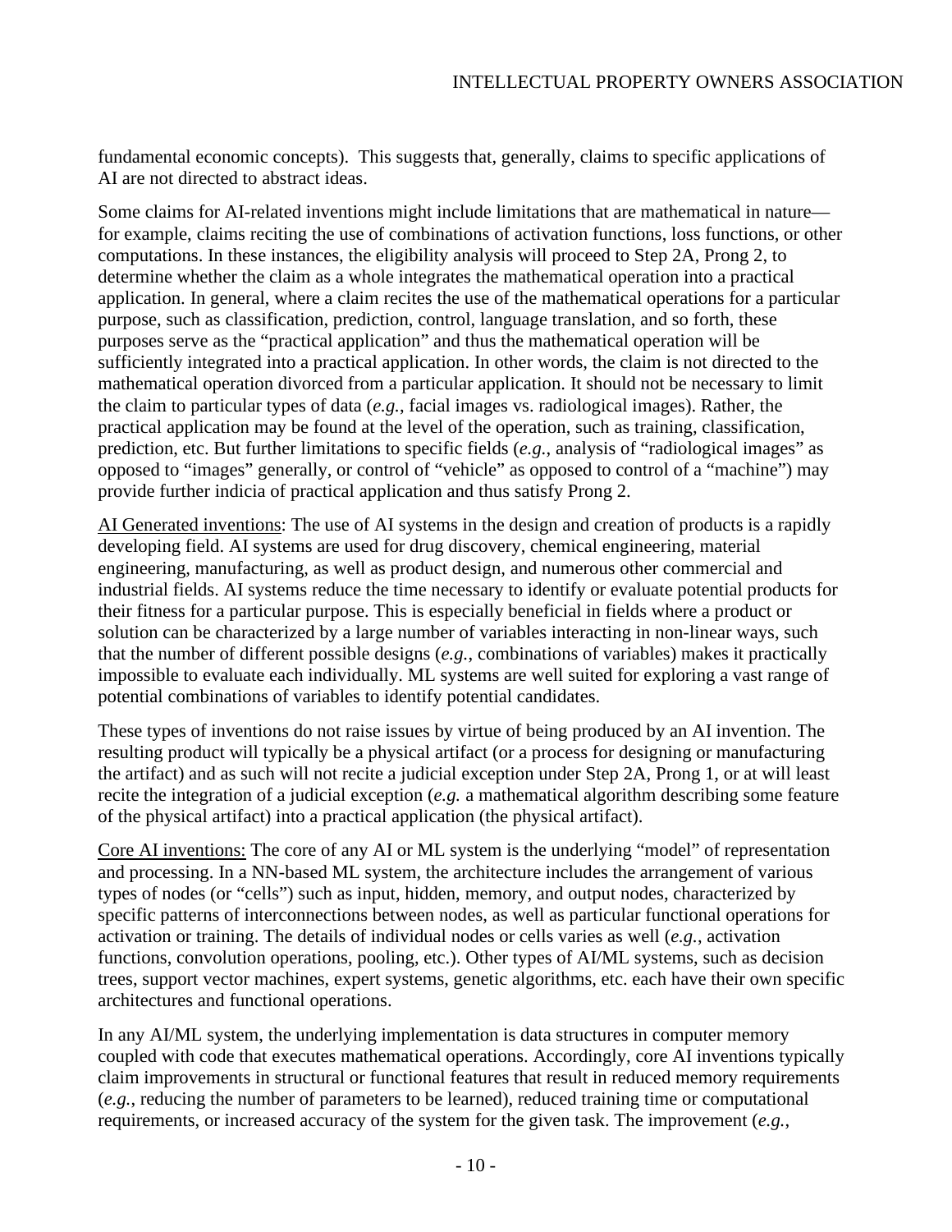fundamental economic concepts). This suggests that, generally, claims to specific applications of AI are not directed to abstract ideas.

Some claims for AI-related inventions might include limitations that are mathematical in nature for example, claims reciting the use of combinations of activation functions, loss functions, or other computations. In these instances, the eligibility analysis will proceed to Step 2A, Prong 2, to determine whether the claim as a whole integrates the mathematical operation into a practical application. In general, where a claim recites the use of the mathematical operations for a particular purpose, such as classification, prediction, control, language translation, and so forth, these purposes serve as the "practical application" and thus the mathematical operation will be sufficiently integrated into a practical application. In other words, the claim is not directed to the mathematical operation divorced from a particular application. It should not be necessary to limit the claim to particular types of data (*e.g.*, facial images vs. radiological images). Rather, the practical application may be found at the level of the operation, such as training, classification, prediction, etc. But further limitations to specific fields (*e.g.*, analysis of "radiological images" as opposed to "images" generally, or control of "vehicle" as opposed to control of a "machine") may provide further indicia of practical application and thus satisfy Prong 2.

AI Generated inventions: The use of AI systems in the design and creation of products is a rapidly developing field. AI systems are used for drug discovery, chemical engineering, material engineering, manufacturing, as well as product design, and numerous other commercial and industrial fields. AI systems reduce the time necessary to identify or evaluate potential products for their fitness for a particular purpose. This is especially beneficial in fields where a product or solution can be characterized by a large number of variables interacting in non-linear ways, such that the number of different possible designs (*e.g.*, combinations of variables) makes it practically impossible to evaluate each individually. ML systems are well suited for exploring a vast range of potential combinations of variables to identify potential candidates.

These types of inventions do not raise issues by virtue of being produced by an AI invention. The resulting product will typically be a physical artifact (or a process for designing or manufacturing the artifact) and as such will not recite a judicial exception under Step 2A, Prong 1, or at will least recite the integration of a judicial exception (*e.g.* a mathematical algorithm describing some feature of the physical artifact) into a practical application (the physical artifact).

Core AI inventions: The core of any AI or ML system is the underlying "model" of representation and processing. In a NN-based ML system, the architecture includes the arrangement of various types of nodes (or "cells") such as input, hidden, memory, and output nodes, characterized by specific patterns of interconnections between nodes, as well as particular functional operations for activation or training. The details of individual nodes or cells varies as well (*e.g.*, activation functions, convolution operations, pooling, etc.). Other types of AI/ML systems, such as decision trees, support vector machines, expert systems, genetic algorithms, etc. each have their own specific architectures and functional operations.

In any AI/ML system, the underlying implementation is data structures in computer memory coupled with code that executes mathematical operations. Accordingly, core AI inventions typically claim improvements in structural or functional features that result in reduced memory requirements (*e.g.*, reducing the number of parameters to be learned), reduced training time or computational requirements, or increased accuracy of the system for the given task. The improvement (*e.g.*,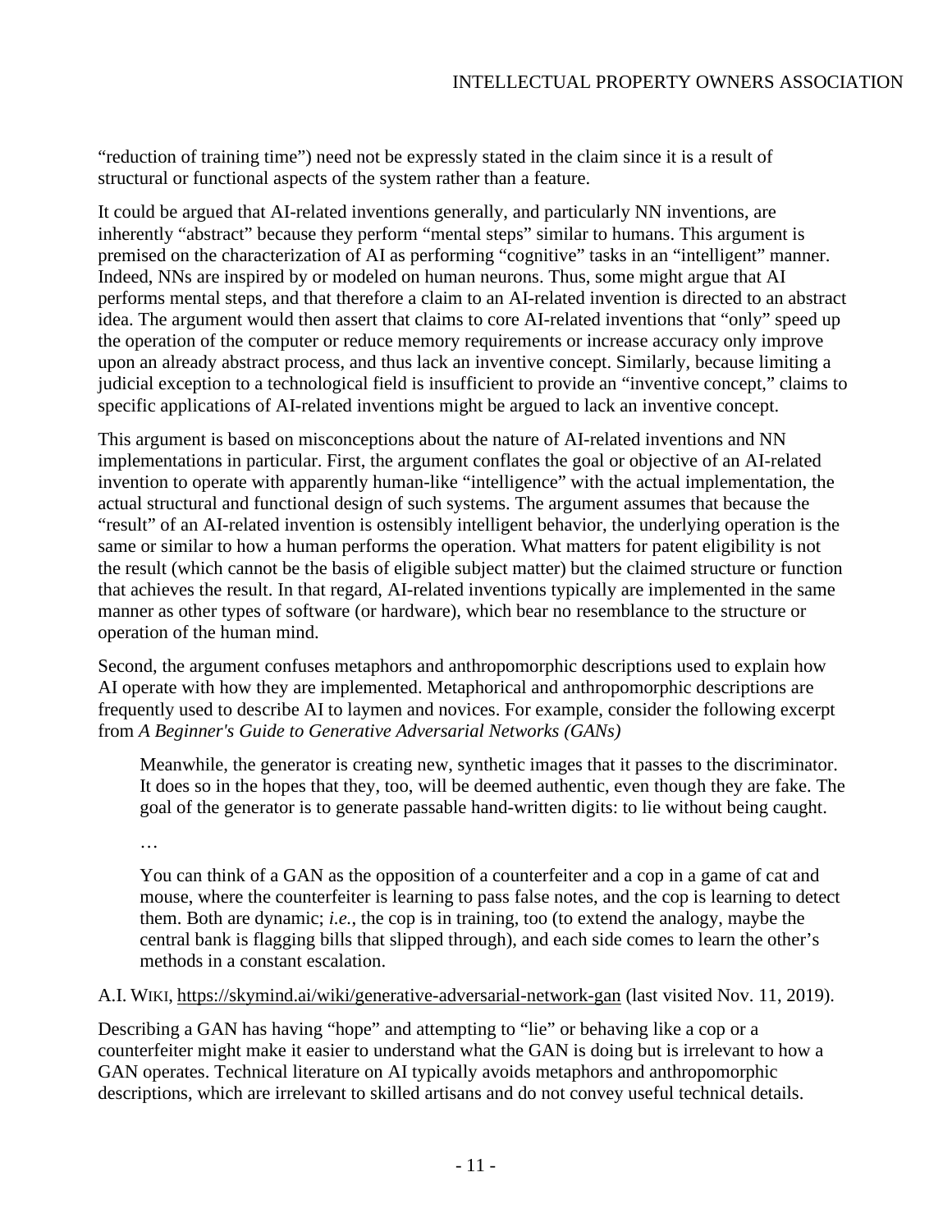"reduction of training time") need not be expressly stated in the claim since it is a result of structural or functional aspects of the system rather than a feature.

It could be argued that AI-related inventions generally, and particularly NN inventions, are inherently "abstract" because they perform "mental steps" similar to humans. This argument is premised on the characterization of AI as performing "cognitive" tasks in an "intelligent" manner. Indeed, NNs are inspired by or modeled on human neurons. Thus, some might argue that AI performs mental steps, and that therefore a claim to an AI-related invention is directed to an abstract idea. The argument would then assert that claims to core AI-related inventions that "only" speed up the operation of the computer or reduce memory requirements or increase accuracy only improve upon an already abstract process, and thus lack an inventive concept. Similarly, because limiting a judicial exception to a technological field is insufficient to provide an "inventive concept," claims to specific applications of AI-related inventions might be argued to lack an inventive concept.

This argument is based on misconceptions about the nature of AI-related inventions and NN implementations in particular. First, the argument conflates the goal or objective of an AI-related invention to operate with apparently human-like "intelligence" with the actual implementation, the actual structural and functional design of such systems. The argument assumes that because the "result" of an AI-related invention is ostensibly intelligent behavior, the underlying operation is the same or similar to how a human performs the operation. What matters for patent eligibility is not the result (which cannot be the basis of eligible subject matter) but the claimed structure or function that achieves the result. In that regard, AI-related inventions typically are implemented in the same manner as other types of software (or hardware), which bear no resemblance to the structure or operation of the human mind.

Second, the argument confuses metaphors and anthropomorphic descriptions used to explain how AI operate with how they are implemented. Metaphorical and anthropomorphic descriptions are frequently used to describe AI to laymen and novices. For example, consider the following excerpt from *A Beginner's Guide to Generative Adversarial Networks (GANs)*

Meanwhile, the generator is creating new, synthetic images that it passes to the discriminator. It does so in the hopes that they, too, will be deemed authentic, even though they are fake. The goal of the generator is to generate passable hand-written digits: to lie without being caught.

…

You can think of a GAN as the opposition of a counterfeiter and a cop in a game of cat and mouse, where the counterfeiter is learning to pass false notes, and the cop is learning to detect them. Both are dynamic; *i.e.*, the cop is in training, too (to extend the analogy, maybe the central bank is flagging bills that slipped through), and each side comes to learn the other's methods in a constant escalation.

### A.I. WIKI, <https://skymind.ai/wiki/generative-adversarial-network-gan> (last visited Nov. 11, 2019).

Describing a GAN has having "hope" and attempting to "lie" or behaving like a cop or a counterfeiter might make it easier to understand what the GAN is doing but is irrelevant to how a GAN operates. Technical literature on AI typically avoids metaphors and anthropomorphic descriptions, which are irrelevant to skilled artisans and do not convey useful technical details.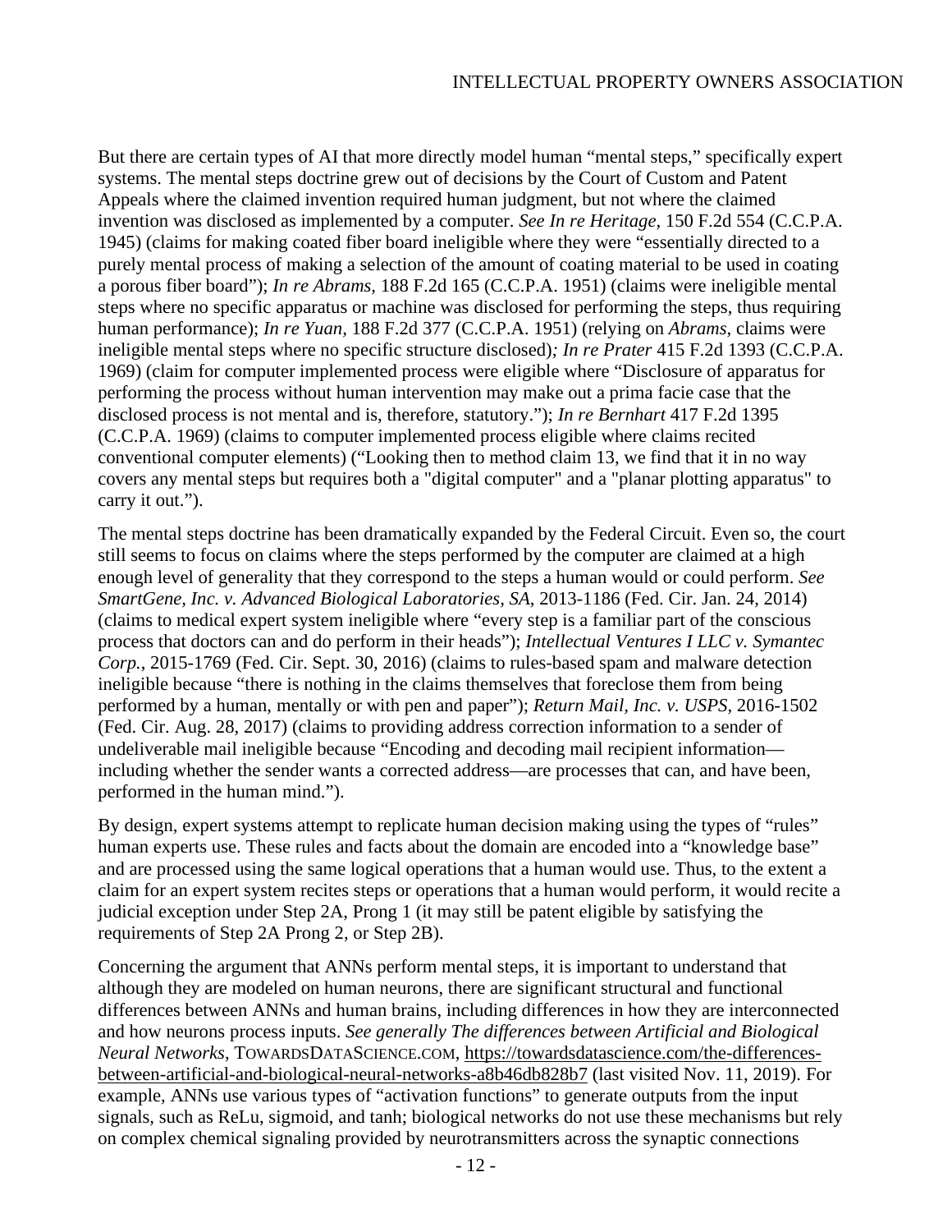But there are certain types of AI that more directly model human "mental steps," specifically expert systems. The mental steps doctrine grew out of decisions by the Court of Custom and Patent Appeals where the claimed invention required human judgment, but not where the claimed invention was disclosed as implemented by a computer. *See In re Heritage*, 150 F.2d 554 (C.C.P.A. 1945) (claims for making coated fiber board ineligible where they were "essentially directed to a purely mental process of making a selection of the amount of coating material to be used in coating a porous fiber board"); *In re Abrams,* 188 F.2d 165 (C.C.P.A. 1951) (claims were ineligible mental steps where no specific apparatus or machine was disclosed for performing the steps, thus requiring human performance); *In re Yuan,* 188 F.2d 377 (C.C.P.A. 1951) (relying on *Abrams*, claims were ineligible mental steps where no specific structure disclosed)*; In re Prater* 415 F.2d 1393 (C.C.P.A. 1969) (claim for computer implemented process were eligible where "Disclosure of apparatus for performing the process without human intervention may make out a prima facie case that the disclosed process is not mental and is, therefore, statutory."); *In re Bernhart* 417 F.2d 1395 (C.C.P.A. 1969) (claims to computer implemented process eligible where claims recited conventional computer elements) ("Looking then to method claim 13, we find that it in no way covers any mental steps but requires both a "digital computer" and a "planar plotting apparatus" to carry it out.").

The mental steps doctrine has been dramatically expanded by the Federal Circuit. Even so, the court still seems to focus on claims where the steps performed by the computer are claimed at a high enough level of generality that they correspond to the steps a human would or could perform. *See SmartGene, Inc. v. Advanced Biological Laboratories, SA*, 2013-1186 (Fed. Cir. Jan. 24, 2014) (claims to medical expert system ineligible where "every step is a familiar part of the conscious process that doctors can and do perform in their heads"); *Intellectual Ventures I LLC v. Symantec Corp.*, 2015-1769 (Fed. Cir. Sept. 30, 2016) (claims to rules-based spam and malware detection ineligible because "there is nothing in the claims themselves that foreclose them from being performed by a human, mentally or with pen and paper"); *Return Mail, Inc. v. USPS,* 2016-1502 (Fed. Cir. Aug. 28, 2017) (claims to providing address correction information to a sender of undeliverable mail ineligible because "Encoding and decoding mail recipient information including whether the sender wants a corrected address—are processes that can, and have been, performed in the human mind.").

By design, expert systems attempt to replicate human decision making using the types of "rules" human experts use. These rules and facts about the domain are encoded into a "knowledge base" and are processed using the same logical operations that a human would use. Thus, to the extent a claim for an expert system recites steps or operations that a human would perform, it would recite a judicial exception under Step 2A, Prong 1 (it may still be patent eligible by satisfying the requirements of Step 2A Prong 2, or Step 2B).

Concerning the argument that ANNs perform mental steps, it is important to understand that although they are modeled on human neurons, there are significant structural and functional differences between ANNs and human brains, including differences in how they are interconnected and how neurons process inputs. *See generally The differences between Artificial and Biological Neural Networks*, TOWARDSDATASCIENCE.COM, [https://towardsdatascience.com/the-differences](https://towardsdatascience.com/the-differences-between-artificial-and-biological-neural-networks-a8b46db828b7)[between-artificial-and-biological-neural-networks-a8b46db828b7](https://towardsdatascience.com/the-differences-between-artificial-and-biological-neural-networks-a8b46db828b7) (last visited Nov. 11, 2019). For example, ANNs use various types of "activation functions" to generate outputs from the input signals, such as ReLu, sigmoid, and tanh; biological networks do not use these mechanisms but rely on complex chemical signaling provided by neurotransmitters across the synaptic connections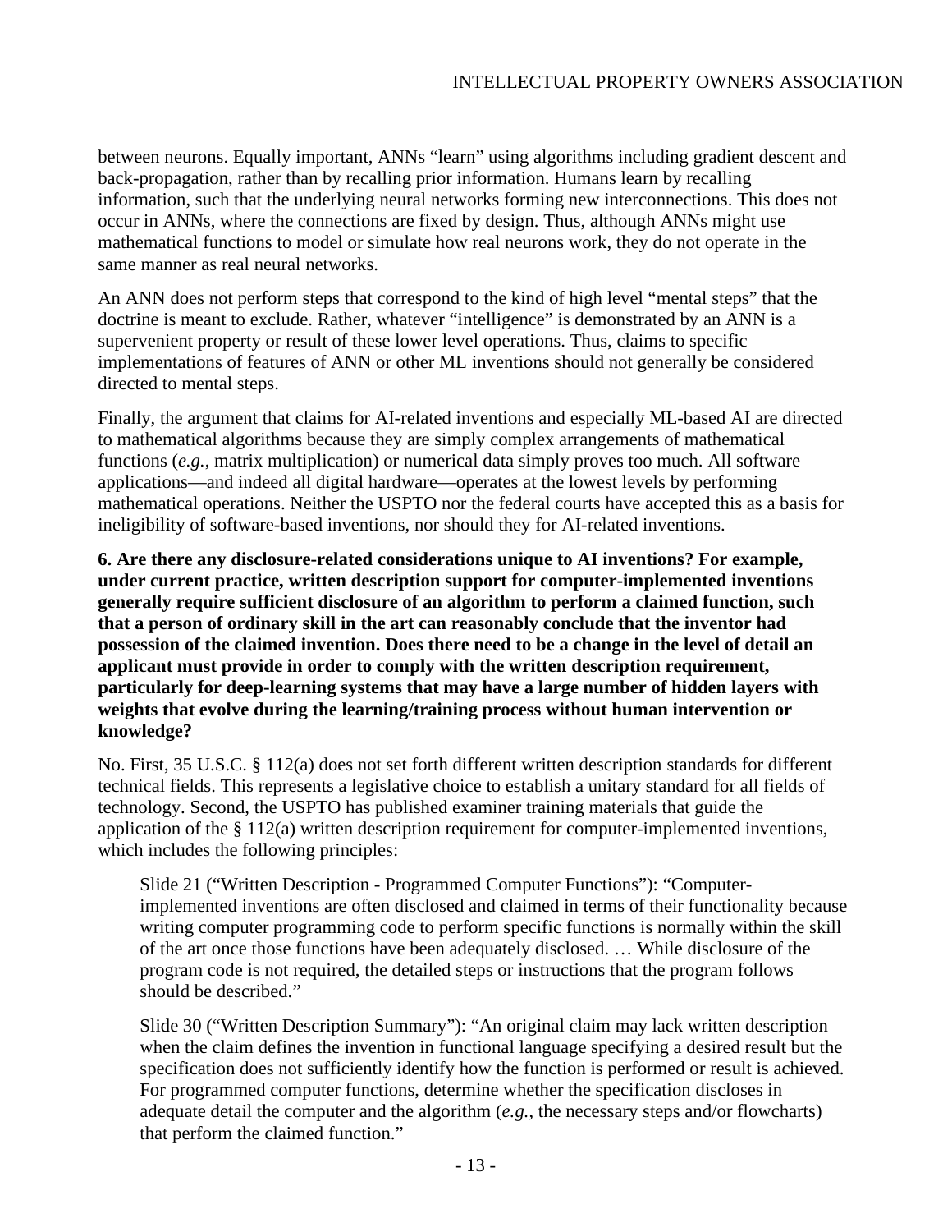between neurons. Equally important, ANNs "learn" using algorithms including gradient descent and back-propagation, rather than by recalling prior information. Humans learn by recalling information, such that the underlying neural networks forming new interconnections. This does not occur in ANNs, where the connections are fixed by design. Thus, although ANNs might use mathematical functions to model or simulate how real neurons work, they do not operate in the same manner as real neural networks.

An ANN does not perform steps that correspond to the kind of high level "mental steps" that the doctrine is meant to exclude. Rather, whatever "intelligence" is demonstrated by an ANN is a supervenient property or result of these lower level operations. Thus, claims to specific implementations of features of ANN or other ML inventions should not generally be considered directed to mental steps.

Finally, the argument that claims for AI-related inventions and especially ML-based AI are directed to mathematical algorithms because they are simply complex arrangements of mathematical functions (*e.g.*, matrix multiplication) or numerical data simply proves too much. All software applications—and indeed all digital hardware—operates at the lowest levels by performing mathematical operations. Neither the USPTO nor the federal courts have accepted this as a basis for ineligibility of software-based inventions, nor should they for AI-related inventions.

**6. Are there any disclosure-related considerations unique to AI inventions? For example, under current practice, written description support for computer-implemented inventions generally require sufficient disclosure of an algorithm to perform a claimed function, such that a person of ordinary skill in the art can reasonably conclude that the inventor had possession of the claimed invention. Does there need to be a change in the level of detail an applicant must provide in order to comply with the written description requirement, particularly for deep-learning systems that may have a large number of hidden layers with weights that evolve during the learning/training process without human intervention or knowledge?**

No. First, 35 U.S.C. § 112(a) does not set forth different written description standards for different technical fields. This represents a legislative choice to establish a unitary standard for all fields of technology. Second, the USPTO has published examiner training materials that guide the application of the § 112(a) written description requirement for computer-implemented inventions, which includes the following principles:

Slide 21 ("Written Description - Programmed Computer Functions"): "Computerimplemented inventions are often disclosed and claimed in terms of their functionality because writing computer programming code to perform specific functions is normally within the skill of the art once those functions have been adequately disclosed. … While disclosure of the program code is not required, the detailed steps or instructions that the program follows should be described."

Slide 30 ("Written Description Summary"): "An original claim may lack written description when the claim defines the invention in functional language specifying a desired result but the specification does not sufficiently identify how the function is performed or result is achieved. For programmed computer functions, determine whether the specification discloses in adequate detail the computer and the algorithm (*e.g.*, the necessary steps and/or flowcharts) that perform the claimed function."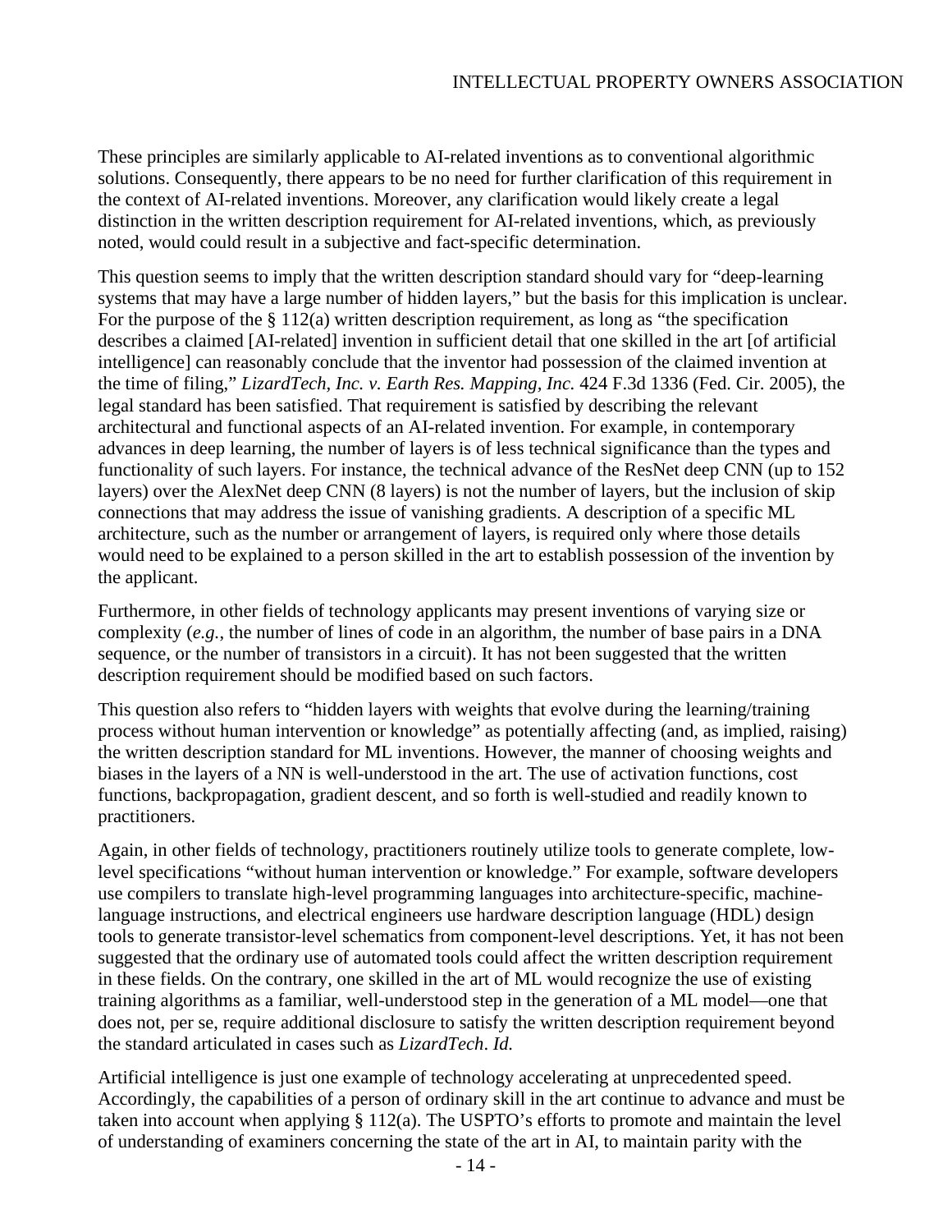These principles are similarly applicable to AI-related inventions as to conventional algorithmic solutions. Consequently, there appears to be no need for further clarification of this requirement in the context of AI-related inventions. Moreover, any clarification would likely create a legal distinction in the written description requirement for AI-related inventions, which, as previously noted, would could result in a subjective and fact-specific determination.

This question seems to imply that the written description standard should vary for "deep-learning systems that may have a large number of hidden layers," but the basis for this implication is unclear. For the purpose of the  $\S 112(a)$  written description requirement, as long as "the specification" describes a claimed [AI-related] invention in sufficient detail that one skilled in the art [of artificial intelligence] can reasonably conclude that the inventor had possession of the claimed invention at the time of filing," *LizardTech, Inc. v. Earth Res. Mapping, Inc.* 424 F.3d 1336 (Fed. Cir. 2005), the legal standard has been satisfied. That requirement is satisfied by describing the relevant architectural and functional aspects of an AI-related invention. For example, in contemporary advances in deep learning, the number of layers is of less technical significance than the types and functionality of such layers. For instance, the technical advance of the ResNet deep CNN (up to 152 layers) over the AlexNet deep CNN (8 layers) is not the number of layers, but the inclusion of skip connections that may address the issue of vanishing gradients. A description of a specific ML architecture, such as the number or arrangement of layers, is required only where those details would need to be explained to a person skilled in the art to establish possession of the invention by the applicant.

Furthermore, in other fields of technology applicants may present inventions of varying size or complexity (*e.g.*, the number of lines of code in an algorithm, the number of base pairs in a DNA sequence, or the number of transistors in a circuit). It has not been suggested that the written description requirement should be modified based on such factors.

This question also refers to "hidden layers with weights that evolve during the learning/training process without human intervention or knowledge" as potentially affecting (and, as implied, raising) the written description standard for ML inventions. However, the manner of choosing weights and biases in the layers of a NN is well-understood in the art. The use of activation functions, cost functions, backpropagation, gradient descent, and so forth is well-studied and readily known to practitioners.

Again, in other fields of technology, practitioners routinely utilize tools to generate complete, lowlevel specifications "without human intervention or knowledge." For example, software developers use compilers to translate high-level programming languages into architecture-specific, machinelanguage instructions, and electrical engineers use hardware description language (HDL) design tools to generate transistor-level schematics from component-level descriptions. Yet, it has not been suggested that the ordinary use of automated tools could affect the written description requirement in these fields. On the contrary, one skilled in the art of ML would recognize the use of existing training algorithms as a familiar, well-understood step in the generation of a ML model—one that does not, per se, require additional disclosure to satisfy the written description requirement beyond the standard articulated in cases such as *LizardTech*. *Id.*

Artificial intelligence is just one example of technology accelerating at unprecedented speed. Accordingly, the capabilities of a person of ordinary skill in the art continue to advance and must be taken into account when applying § 112(a). The USPTO's efforts to promote and maintain the level of understanding of examiners concerning the state of the art in AI, to maintain parity with the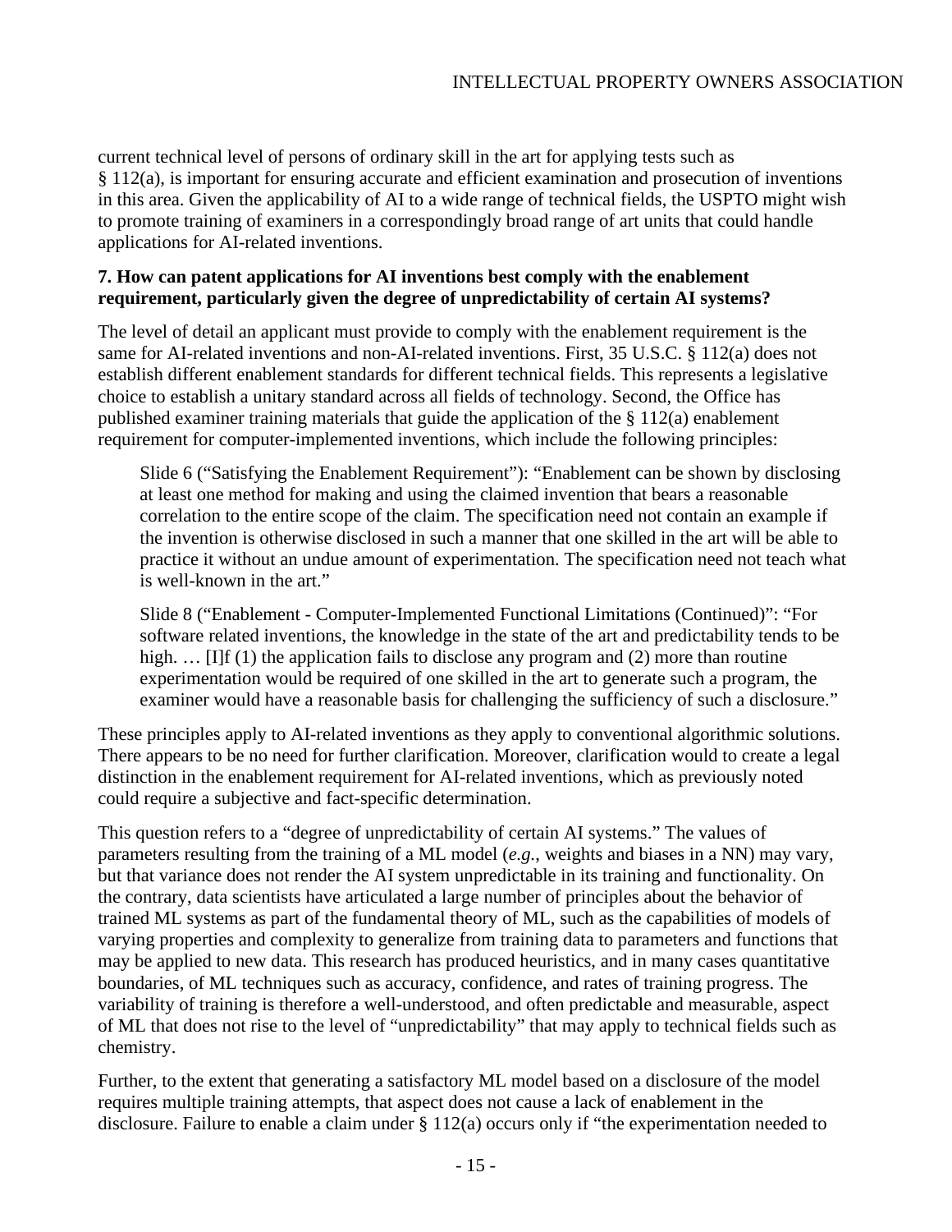current technical level of persons of ordinary skill in the art for applying tests such as § 112(a), is important for ensuring accurate and efficient examination and prosecution of inventions in this area. Given the applicability of AI to a wide range of technical fields, the USPTO might wish to promote training of examiners in a correspondingly broad range of art units that could handle applications for AI-related inventions.

# **7. How can patent applications for AI inventions best comply with the enablement requirement, particularly given the degree of unpredictability of certain AI systems?**

The level of detail an applicant must provide to comply with the enablement requirement is the same for AI-related inventions and non-AI-related inventions. First, 35 U.S.C. § 112(a) does not establish different enablement standards for different technical fields. This represents a legislative choice to establish a unitary standard across all fields of technology. Second, the Office has published examiner training materials that guide the application of the § 112(a) enablement requirement for computer-implemented inventions, which include the following principles:

Slide 6 ("Satisfying the Enablement Requirement"): "Enablement can be shown by disclosing at least one method for making and using the claimed invention that bears a reasonable correlation to the entire scope of the claim. The specification need not contain an example if the invention is otherwise disclosed in such a manner that one skilled in the art will be able to practice it without an undue amount of experimentation. The specification need not teach what is well-known in the art."

Slide 8 ("Enablement - Computer-Implemented Functional Limitations (Continued)": "For software related inventions, the knowledge in the state of the art and predictability tends to be high. ... [I]f (1) the application fails to disclose any program and (2) more than routine experimentation would be required of one skilled in the art to generate such a program, the examiner would have a reasonable basis for challenging the sufficiency of such a disclosure."

These principles apply to AI-related inventions as they apply to conventional algorithmic solutions. There appears to be no need for further clarification. Moreover, clarification would to create a legal distinction in the enablement requirement for AI-related inventions, which as previously noted could require a subjective and fact-specific determination.

This question refers to a "degree of unpredictability of certain AI systems." The values of parameters resulting from the training of a ML model (*e.g.*, weights and biases in a NN) may vary, but that variance does not render the AI system unpredictable in its training and functionality. On the contrary, data scientists have articulated a large number of principles about the behavior of trained ML systems as part of the fundamental theory of ML, such as the capabilities of models of varying properties and complexity to generalize from training data to parameters and functions that may be applied to new data. This research has produced heuristics, and in many cases quantitative boundaries, of ML techniques such as accuracy, confidence, and rates of training progress. The variability of training is therefore a well-understood, and often predictable and measurable, aspect of ML that does not rise to the level of "unpredictability" that may apply to technical fields such as chemistry.

Further, to the extent that generating a satisfactory ML model based on a disclosure of the model requires multiple training attempts, that aspect does not cause a lack of enablement in the disclosure. Failure to enable a claim under § 112(a) occurs only if "the experimentation needed to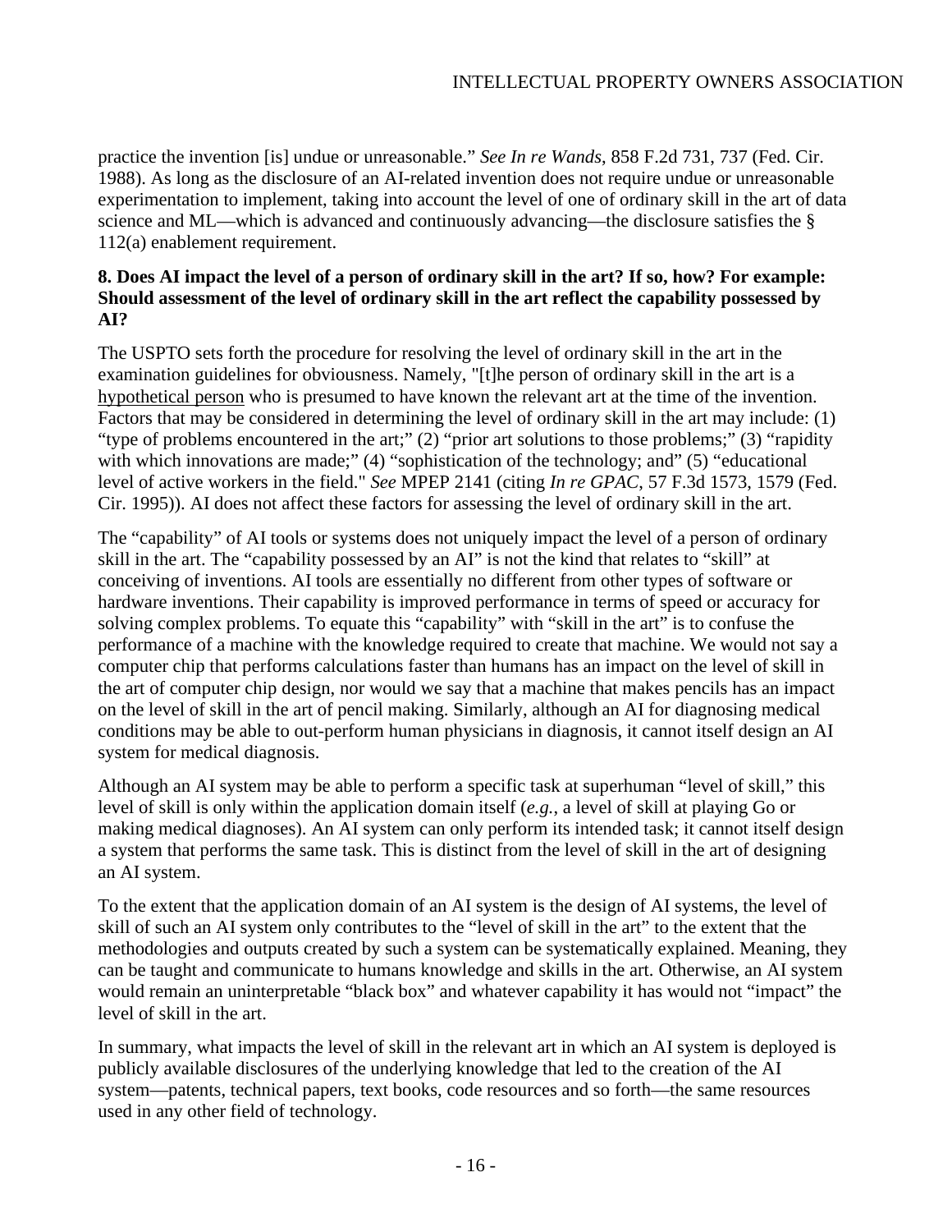practice the invention [is] undue or unreasonable." *See In re Wands*, 858 F.2d 731, 737 (Fed. Cir. 1988). As long as the disclosure of an AI-related invention does not require undue or unreasonable experimentation to implement, taking into account the level of one of ordinary skill in the art of data science and ML—which is advanced and continuously advancing—the disclosure satisfies the § 112(a) enablement requirement.

# **8. Does AI impact the level of a person of ordinary skill in the art? If so, how? For example: Should assessment of the level of ordinary skill in the art reflect the capability possessed by AI?**

The USPTO sets forth the procedure for resolving the level of ordinary skill in the art in the examination guidelines for obviousness. Namely, "[t]he person of ordinary skill in the art is a hypothetical person who is presumed to have known the relevant art at the time of the invention. Factors that may be considered in determining the level of ordinary skill in the art may include: (1) "type of problems encountered in the art;" (2) "prior art solutions to those problems;" (3) "rapidity" with which innovations are made;" (4) "sophistication of the technology; and" (5) "educational level of active workers in the field." *See* MPEP 2141 (citing *In re GPAC*, 57 F.3d 1573, 1579 (Fed. Cir. 1995)). AI does not affect these factors for assessing the level of ordinary skill in the art.

The "capability" of AI tools or systems does not uniquely impact the level of a person of ordinary skill in the art. The "capability possessed by an AI" is not the kind that relates to "skill" at conceiving of inventions. AI tools are essentially no different from other types of software or hardware inventions. Their capability is improved performance in terms of speed or accuracy for solving complex problems. To equate this "capability" with "skill in the art" is to confuse the performance of a machine with the knowledge required to create that machine. We would not say a computer chip that performs calculations faster than humans has an impact on the level of skill in the art of computer chip design, nor would we say that a machine that makes pencils has an impact on the level of skill in the art of pencil making. Similarly, although an AI for diagnosing medical conditions may be able to out-perform human physicians in diagnosis, it cannot itself design an AI system for medical diagnosis.

Although an AI system may be able to perform a specific task at superhuman "level of skill," this level of skill is only within the application domain itself (*e.g.*, a level of skill at playing Go or making medical diagnoses). An AI system can only perform its intended task; it cannot itself design a system that performs the same task. This is distinct from the level of skill in the art of designing an AI system.

To the extent that the application domain of an AI system is the design of AI systems, the level of skill of such an AI system only contributes to the "level of skill in the art" to the extent that the methodologies and outputs created by such a system can be systematically explained. Meaning, they can be taught and communicate to humans knowledge and skills in the art. Otherwise, an AI system would remain an uninterpretable "black box" and whatever capability it has would not "impact" the level of skill in the art.

In summary, what impacts the level of skill in the relevant art in which an AI system is deployed is publicly available disclosures of the underlying knowledge that led to the creation of the AI system—patents, technical papers, text books, code resources and so forth—the same resources used in any other field of technology.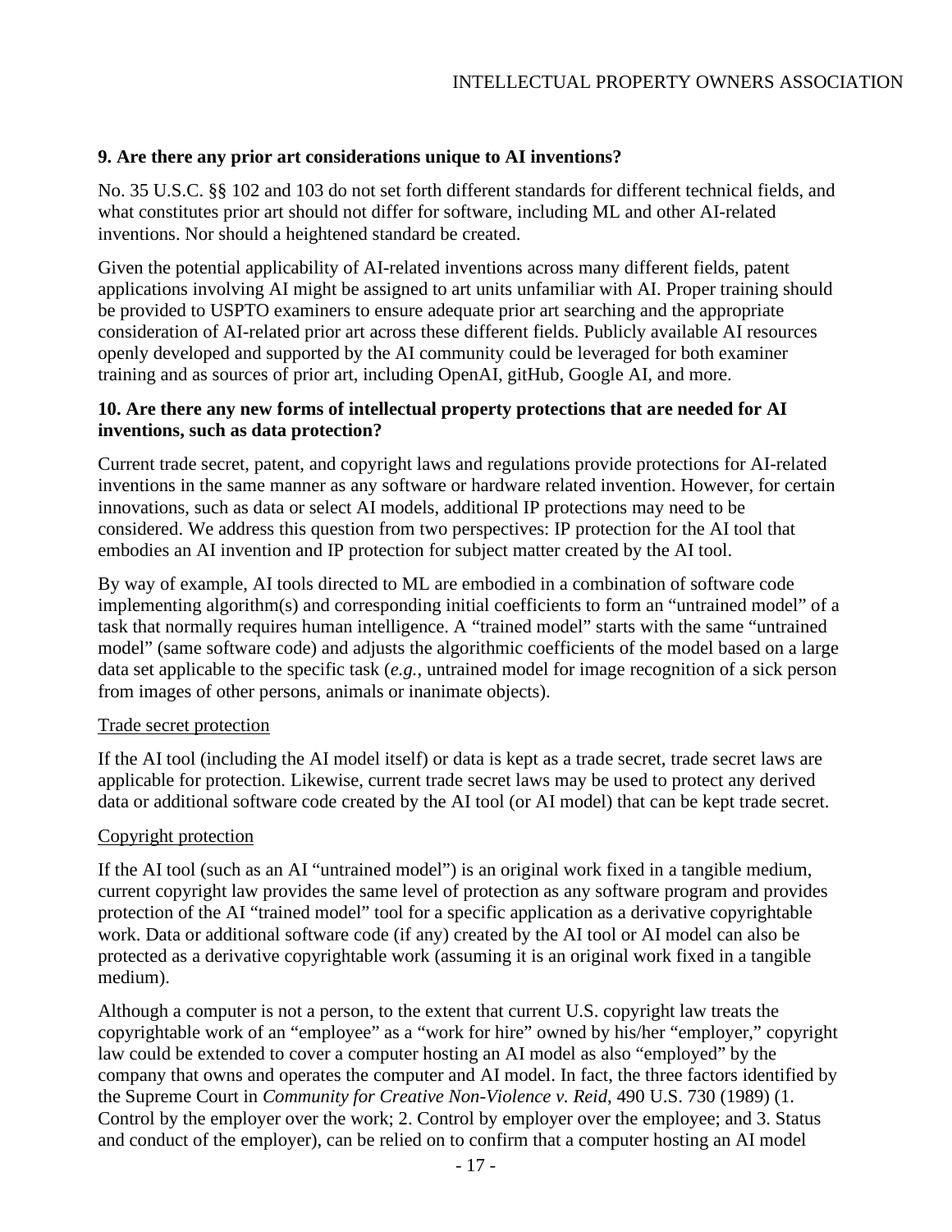## **9. Are there any prior art considerations unique to AI inventions?**

No. 35 U.S.C. §§ 102 and 103 do not set forth different standards for different technical fields, and what constitutes prior art should not differ for software, including ML and other AI-related inventions. Nor should a heightened standard be created.

Given the potential applicability of AI-related inventions across many different fields, patent applications involving AI might be assigned to art units unfamiliar with AI. Proper training should be provided to USPTO examiners to ensure adequate prior art searching and the appropriate consideration of AI-related prior art across these different fields. Publicly available AI resources openly developed and supported by the AI community could be leveraged for both examiner training and as sources of prior art, including OpenAI, gitHub, Google AI, and more.

### **10. Are there any new forms of intellectual property protections that are needed for AI inventions, such as data protection?**

Current trade secret, patent, and copyright laws and regulations provide protections for AI-related inventions in the same manner as any software or hardware related invention. However, for certain innovations, such as data or select AI models, additional IP protections may need to be considered. We address this question from two perspectives: IP protection for the AI tool that embodies an AI invention and IP protection for subject matter created by the AI tool.

By way of example, AI tools directed to ML are embodied in a combination of software code implementing algorithm(s) and corresponding initial coefficients to form an "untrained model" of a task that normally requires human intelligence. A "trained model" starts with the same "untrained model" (same software code) and adjusts the algorithmic coefficients of the model based on a large data set applicable to the specific task (*e.g.*, untrained model for image recognition of a sick person from images of other persons, animals or inanimate objects).

### Trade secret protection

If the AI tool (including the AI model itself) or data is kept as a trade secret, trade secret laws are applicable for protection. Likewise, current trade secret laws may be used to protect any derived data or additional software code created by the AI tool (or AI model) that can be kept trade secret.

### Copyright protection

If the AI tool (such as an AI "untrained model") is an original work fixed in a tangible medium, current copyright law provides the same level of protection as any software program and provides protection of the AI "trained model" tool for a specific application as a derivative copyrightable work. Data or additional software code (if any) created by the AI tool or AI model can also be protected as a derivative copyrightable work (assuming it is an original work fixed in a tangible medium).

Although a computer is not a person, to the extent that current U.S. copyright law treats the copyrightable work of an "employee" as a "work for hire" owned by his/her "employer," copyright law could be extended to cover a computer hosting an AI model as also "employed" by the company that owns and operates the computer and AI model. In fact, the three factors identified by the Supreme Court in *Community for Creative Non-Violence v. Reid*, 490 U.S. 730 (1989) (1. Control by the employer over the work; 2. Control by employer over the employee; and 3. Status and conduct of the employer), can be relied on to confirm that a computer hosting an AI model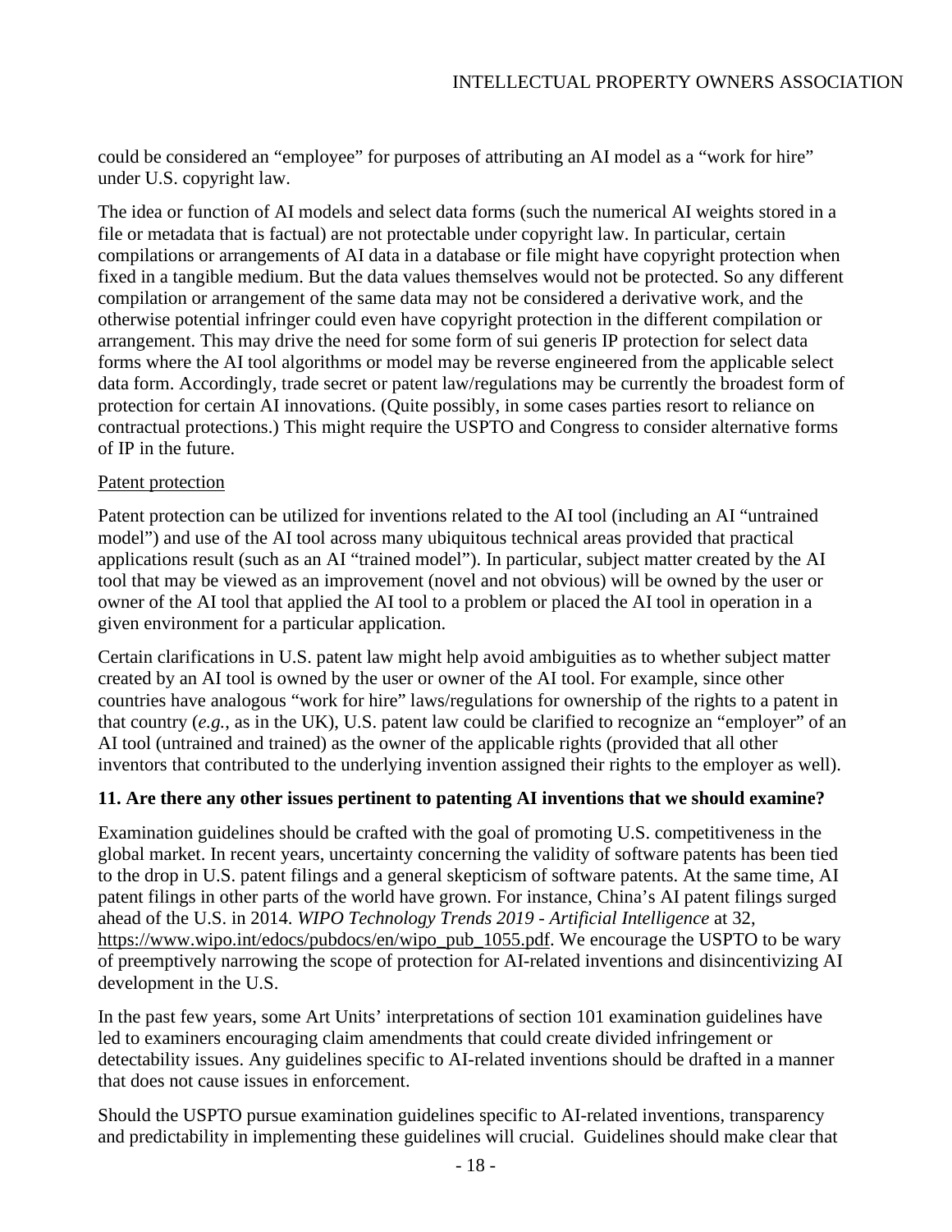could be considered an "employee" for purposes of attributing an AI model as a "work for hire" under U.S. copyright law.

The idea or function of AI models and select data forms (such the numerical AI weights stored in a file or metadata that is factual) are not protectable under copyright law. In particular, certain compilations or arrangements of AI data in a database or file might have copyright protection when fixed in a tangible medium. But the data values themselves would not be protected. So any different compilation or arrangement of the same data may not be considered a derivative work, and the otherwise potential infringer could even have copyright protection in the different compilation or arrangement. This may drive the need for some form of sui generis IP protection for select data forms where the AI tool algorithms or model may be reverse engineered from the applicable select data form. Accordingly, trade secret or patent law/regulations may be currently the broadest form of protection for certain AI innovations. (Quite possibly, in some cases parties resort to reliance on contractual protections.) This might require the USPTO and Congress to consider alternative forms of IP in the future.

## Patent protection

Patent protection can be utilized for inventions related to the AI tool (including an AI "untrained model") and use of the AI tool across many ubiquitous technical areas provided that practical applications result (such as an AI "trained model"). In particular, subject matter created by the AI tool that may be viewed as an improvement (novel and not obvious) will be owned by the user or owner of the AI tool that applied the AI tool to a problem or placed the AI tool in operation in a given environment for a particular application.

Certain clarifications in U.S. patent law might help avoid ambiguities as to whether subject matter created by an AI tool is owned by the user or owner of the AI tool. For example, since other countries have analogous "work for hire" laws/regulations for ownership of the rights to a patent in that country (*e.g.*, as in the UK), U.S. patent law could be clarified to recognize an "employer" of an AI tool (untrained and trained) as the owner of the applicable rights (provided that all other inventors that contributed to the underlying invention assigned their rights to the employer as well).

### **11. Are there any other issues pertinent to patenting AI inventions that we should examine?**

Examination guidelines should be crafted with the goal of promoting U.S. competitiveness in the global market. In recent years, uncertainty concerning the validity of software patents has been tied to the drop in U.S. patent filings and a general skepticism of software patents. At the same time, AI patent filings in other parts of the world have grown. For instance, China's AI patent filings surged ahead of the U.S. in 2014. *WIPO Technology Trends 2019 - Artificial Intelligence* at 32, [https://www.wipo.int/edocs/pubdocs/en/wipo\\_pub\\_1055.pdf.](https://www.wipo.int/edocs/pubdocs/en/wipo_pub_1055.pdf) We encourage the USPTO to be wary of preemptively narrowing the scope of protection for AI-related inventions and disincentivizing AI development in the U.S.

In the past few years, some Art Units' interpretations of section 101 examination guidelines have led to examiners encouraging claim amendments that could create divided infringement or detectability issues. Any guidelines specific to AI-related inventions should be drafted in a manner that does not cause issues in enforcement.

Should the USPTO pursue examination guidelines specific to AI-related inventions, transparency and predictability in implementing these guidelines will crucial. Guidelines should make clear that